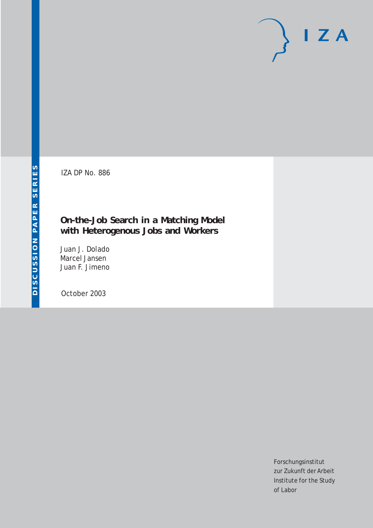IZA DP No. 886

## **On-the-Job Search in a Matching Model with Heterogenous Jobs and Workers**

Juan J. Dolado Marcel Jansen Juan F. Jimeno

October 2003

Forschungsinstitut zur Zukunft der Arbeit Institute for the Study of Labor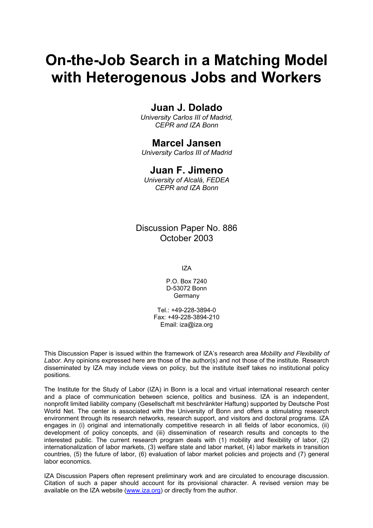# **On-the-Job Search in a Matching Model with Heterogenous Jobs and Workers**

## **Juan J. Dolado**

*University Carlos III of Madrid, CEPR and IZA Bonn* 

### **Marcel Jansen**

*University Carlos III of Madrid* 

### **Juan F. Jimeno**

*University of Alcalá, FEDEA CEPR and IZA Bonn* 

Discussion Paper No. 886 October 2003

IZA

P.O. Box 7240 D-53072 Bonn Germany

Tel.: +49-228-3894-0 Fax: +49-228-3894-210 Email: [iza@iza.org](mailto:iza@iza.org)

This Discussion Paper is issued within the framework of IZA's research area *Mobility and Flexibility of Labor.* Any opinions expressed here are those of the author(s) and not those of the institute. Research disseminated by IZA may include views on policy, but the institute itself takes no institutional policy positions.

The Institute for the Study of Labor (IZA) in Bonn is a local and virtual international research center and a place of communication between science, politics and business. IZA is an independent, nonprofit limited liability company (Gesellschaft mit beschränkter Haftung) supported by Deutsche Post World Net. The center is associated with the University of Bonn and offers a stimulating research environment through its research networks, research support, and visitors and doctoral programs. IZA engages in (i) original and internationally competitive research in all fields of labor economics, (ii) development of policy concepts, and (iii) dissemination of research results and concepts to the interested public. The current research program deals with (1) mobility and flexibility of labor, (2) internationalization of labor markets, (3) welfare state and labor market, (4) labor markets in transition countries, (5) the future of labor, (6) evaluation of labor market policies and projects and (7) general labor economics.

IZA Discussion Papers often represent preliminary work and are circulated to encourage discussion. Citation of such a paper should account for its provisional character. A revised version may be available on the IZA website ([www.iza.org](http://www.iza.org/)) or directly from the author.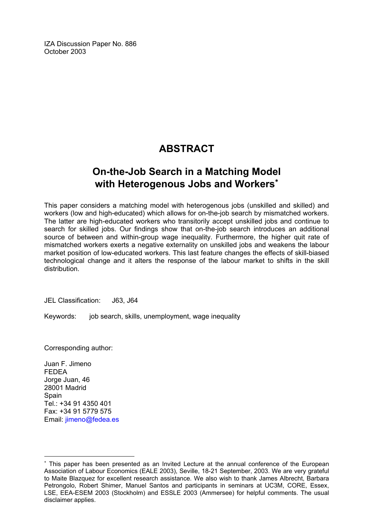IZA Discussion Paper No. 886 October 2003

## **ABSTRACT**

## **On-the-Job Search in a Matching Model with Heterogenous Jobs and Workers**[∗](#page-2-0)

This paper considers a matching model with heterogenous jobs (unskilled and skilled) and workers (low and high-educated) which allows for on-the-job search by mismatched workers. The latter are high-educated workers who transitorily accept unskilled jobs and continue to search for skilled jobs. Our findings show that on-the-job search introduces an additional source of between and within-group wage inequality. Furthermore, the higher quit rate of mismatched workers exerts a negative externality on unskilled jobs and weakens the labour market position of low-educated workers. This last feature changes the effects of skill-biased technological change and it alters the response of the labour market to shifts in the skill distribution.

JEL Classification: J63, J64

Keywords: job search, skills, unemployment, wage inequality

Corresponding author:

Juan F. Jimeno FEDEA Jorge Juan, 46 28001 Madrid **Spain**  $Tel + 34 91 4350 401$ Fax: +34 91 5779 575 Email: [jimeno@fedea.es](mailto:jimeno@fedea.es) 

 $\overline{a}$ 

<span id="page-2-0"></span><sup>∗</sup> This paper has been presented as an Invited Lecture at the annual conference of the European Association of Labour Economics (EALE 2003), Seville, 18-21 September, 2003. We are very grateful to Maite Blazquez for excellent research assistance. We also wish to thank James Albrecht, Barbara Petrongolo, Robert Shimer, Manuel Santos and participants in seminars at UC3M, CORE, Essex, LSE, EEA-ESEM 2003 (Stockholm) and ESSLE 2003 (Ammersee) for helpful comments. The usual disclaimer applies.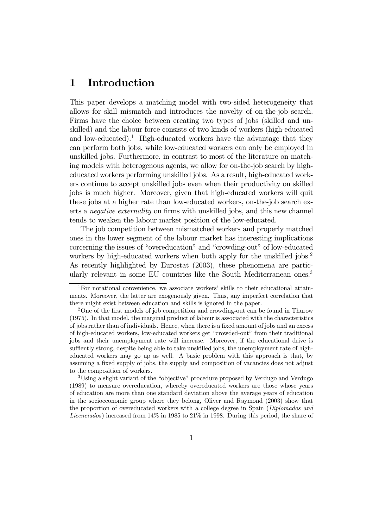## 1 Introduction

This paper develops a matching model with two-sided heterogeneity that allows for skill mismatch and introduces the novelty of on-the-job search. Firms have the choice between creating two types of jobs (skilled and unskilled) and the labour force consists of two kinds of workers (high-educated and low-educated).<sup>1</sup> High-educated workers have the advantage that they can perform both jobs, while low-educated workers can only be employed in unskilled jobs. Furthermore, in contrast to most of the literature on matching models with heterogenous agents, we allow for on-the-job search by higheducated workers performing unskilled jobs. As a result, high-educated workers continue to accept unskilled jobs even when their productivity on skilled jobs is much higher. Moreover, given that high-educated workers will quit these jobs at a higher rate than low-educated workers, on-the-job search exerts a negative externality on firms with unskilled jobs, and this new channel tends to weaken the labour market position of the low-educated.

The job competition between mismatched workers and properly matched ones in the lower segment of the labour market has interesting implications corcerning the issues of "overeducation" and "crowding-out" of low-educated workers by high-educated workers when both apply for the unskilled jobs.<sup>2</sup> As recently highlighted by Eurostat (2003), these phenomena are particularly relevant in some EU countries like the South Mediterranean ones.<sup>3</sup>

3Using a slight variant of the "objective" procedure proposed by Verdugo and Verdugo (1989) to measure overeducation, whereby overeducated workers are those whose years of education are more than one standard deviation above the average years of education in the socioeconomic group where they belong, Oliver and Raymond (2003) show that the proportion of overeducated workers with a college degree in Spain (Diplomados and Licenciados) increased from 14% in 1985 to 21% in 1998. During this period, the share of

<sup>1</sup>For notational convenience, we associate workers' skills to their educational attainments. Moreover, the latter are exogenously given. Thus, any imperfect correlation that there might exist between education and skills is ignored in the paper.

<sup>&</sup>lt;sup>2</sup>One of the first models of job competition and crowding-out can be found in Thurow (1975). In that model, the marginal product of labour is associated with the characteristics of jobs rather than of individuals. Hence, when there is a fixed amount of jobs and an excess of high-educated workers, low-educated workers get "crowded-out" from their traditional jobs and their unemployment rate will increase. Moreover, if the educational drive is suffiently strong, despite being able to take unskilled jobs, the unemployment rate of higheducated workers may go up as well. A basic problem with this approach is that, by assuming a fixed supply of jobs, the supply and composition of vacancies does not adjust to the composition of workers.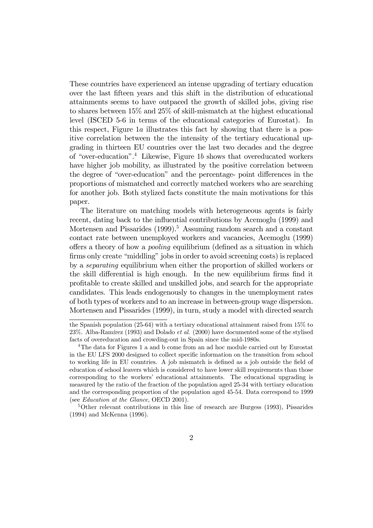These countries have experienced an intense upgrading of tertiary education over the last fifteen years and this shift in the distribution of educational attainments seems to have outpaced the growth of skilled jobs, giving rise to shares between 15% and 25% of skill-mismatch at the highest educational level (ISCED 5-6 in terms of the educational categories of Eurostat). In this respect, Figure 1a illustrates this fact by showing that there is a positive correlation between the the intensity of the tertiary educational upgrading in thirteen EU countries over the last two decades and the degree of "over-education".4 Likewise, Figure 1b shows that overeducated workers have higher job mobility, as illustrated by the positive correlation between the degree of "over-education" and the percentage- point differences in the proportions of mismatched and correctly matched workers who are searching for another job. Both stylized facts constitute the main motivations for this paper.

The literature on matching models with heterogeneous agents is fairly recent, dating back to the influential contributions by Acemoglu (1999) and Mortensen and Pissarides (1999).<sup>5</sup> Assuming random search and a constant contact rate between unemployed workers and vacancies, Acemoglu (1999) offers a theory of how a pooling equilibrium (defined as a situation in which firms only create "middling" jobs in order to avoid screening costs) is replaced by a separating equilibrium when either the proportion of skilled workers or the skill differential is high enough. In the new equilibrium firms find it profitable to create skilled and unskilled jobs, and search for the appropriate candidates. This leads endogenously to changes in the unemployment rates of both types of workers and to an increase in between-group wage dispersion. Mortensen and Pissarides (1999), in turn, study a model with directed search

the Spanish population (25-64) with a tertiary educational attainment raised from 15% to 23%. Alba-Ramírez (1993) and Dolado et al. (2000) have documented some of the stylised facts of overeducation and crowding-out in Spain since the mid-1980s.

 $4$ The data for Figures 1 a and b come from an ad hoc module carried out by Eurostat in the EU LFS 2000 designed to collect specific information on the transition from school to working life in EU countries. A job mismatch is defined as a job outside the field of education of school leavers which is considered to have lower skill requirements than those corresponding to the workers' educational attainments. The educational upgrading is measured by the ratio of the fraction of the population aged 25-34 with tertiary education and the corresponding proportion of the population aged 45-54. Data correspond to 1999 (see Education at the Glance, OECD 2001).

<sup>5</sup>Other relevant contributions in this line of research are Burgess (1993), Pissarides (1994) and McKenna (1996).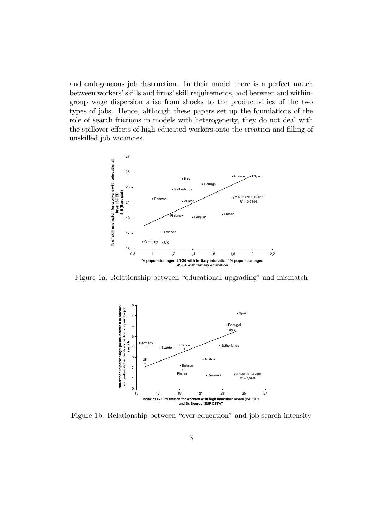and endogeneous job destruction. In their model there is a perfect match between workers' skills and firms' skill requirements, and between and withingroup wage dispersion arise from shocks to the productivities of the two types of jobs. Hence, although these papers set up the foundations of the role of search frictions in models with heterogeneity, they do not deal with the spillover effects of high-educated workers onto the creation and filling of unskilled job vacancies.



Figure 1a: Relationship between "educational upgrading" and mismatch



Figure 1b: Relationship between "over-education" and job search intensity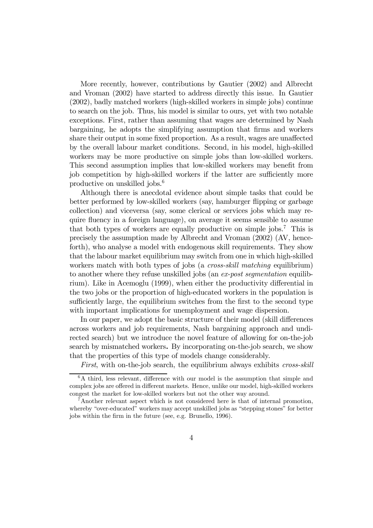More recently, however, contributions by Gautier (2002) and Albrecht and Vroman (2002) have started to address directly this issue. In Gautier (2002), badly matched workers (high-skilled workers in simple jobs) continue to search on the job. Thus, his model is similar to ours, yet with two notable exceptions. First, rather than assuming that wages are determined by Nash bargaining, he adopts the simplifying assumption that firms and workers share their output in some fixed proportion. As a result, wages are unaffected by the overall labour market conditions. Second, in his model, high-skilled workers may be more productive on simple jobs than low-skilled workers. This second assumption implies that low-skilled workers may benefit from job competition by high-skilled workers if the latter are sufficiently more productive on unskilled jobs.6

Although there is anecdotal evidence about simple tasks that could be better performed by low-skilled workers (say, hamburger flipping or garbage collection) and viceversa (say, some clerical or services jobs which may require fluency in a foreign language), on average it seems sensible to assume that both types of workers are equally productive on simple jobs.7 This is precisely the assumption made by Albrecht and Vroman (2002) (AV, henceforth), who analyse a model with endogenous skill requirements. They show that the labour market equilibrium may switch from one in which high-skilled workers match with both types of jobs (a *cross-skill matching* equilibrium) to another where they refuse unskilled jobs (an ex-post segmentation equilibrium). Like in Acemoglu (1999), when either the productivity differential in the two jobs or the proportion of high-educated workers in the population is sufficiently large, the equilibrium switches from the first to the second type with important implications for unemployment and wage dispersion.

In our paper, we adopt the basic structure of their model (skill differences across workers and job requirements, Nash bargaining approach and undirected search) but we introduce the novel feature of allowing for on-the-job search by mismatched workers. By incorporating on-the-job search, we show that the properties of this type of models change considerably.

First, with on-the-job search, the equilibrium always exhibits cross-skill

<sup>&</sup>lt;sup>6</sup>A third, less relevant, difference with our model is the assumption that simple and complex jobs are offered in different markets. Hence, unlike our model, high-skilled workers congest the market for low-skilled workers but not the other way around.

<sup>7</sup>Another relevant aspect which is not considered here is that of internal promotion, whereby "over-educated" workers may accept unskilled jobs as "stepping stones" for better jobs within the firm in the future (see, e.g. Brunello, 1996).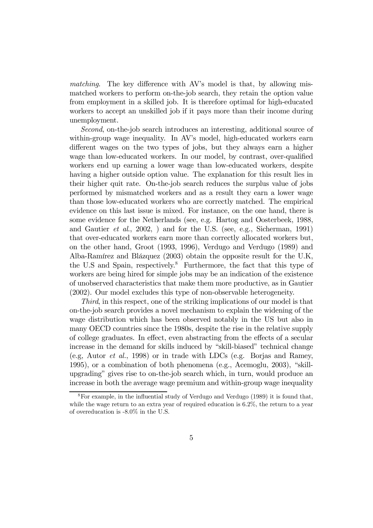matching. The key difference with AV's model is that, by allowing mismatched workers to perform on-the-job search, they retain the option value from employment in a skilled job. It is therefore optimal for high-educated workers to accept an unskilled job if it pays more than their income during unemployment.

Second, on-the-job search introduces an interesting, additional source of within-group wage inequality. In AV's model, high-educated workers earn different wages on the two types of jobs, but they always earn a higher wage than low-educated workers. In our model, by contrast, over-qualified workers end up earning a lower wage than low-educated workers, despite having a higher outside option value. The explanation for this result lies in their higher quit rate. On-the-job search reduces the surplus value of jobs performed by mismatched workers and as a result they earn a lower wage than those low-educated workers who are correctly matched. The empirical evidence on this last issue is mixed. For instance, on the one hand, there is some evidence for the Netherlands (see, e.g. Hartog and Oosterbeek, 1988, and Gautier *et al.*, 2002, ) and for the U.S. (see, e.g., Sicherman, 1991) that over-educated workers earn more than correctly allocated workers but, on the other hand, Groot (1993, 1996), Verdugo and Verdugo (1989) and Alba-Ramírez and Blázquez (2003) obtain the opposite result for the U.K, the U.S and Spain, respectively.<sup>8</sup> Furthermore, the fact that this type of workers are being hired for simple jobs may be an indication of the existence of unobserved characteristics that make them more productive, as in Gautier (2002). Our model excludes this type of non-observable heterogeneity.

Third, in this respect, one of the striking implications of our model is that on-the-job search provides a novel mechanism to explain the widening of the wage distribution which has been observed notably in the US but also in many OECD countries since the 1980s, despite the rise in the relative supply of college graduates. In effect, even abstracting from the effects of a secular increase in the demand for skills induced by "skill-biased" technical change (e.g, Autor et al., 1998) or in trade with LDCs (e.g. Borjas and Ramey, 1995), or a combination of both phenomena (e.g., Acemoglu, 2003), "skillupgrading" gives rise to on-the-job search which, in turn, would produce an increase in both the average wage premium and within-group wage inequality

 ${}^{8}$ For example, in the influential study of Verdugo and Verdugo (1989) it is found that, while the wage return to an extra year of required education is 6.2%, the return to a year of overeducation is -8.0% in the U.S.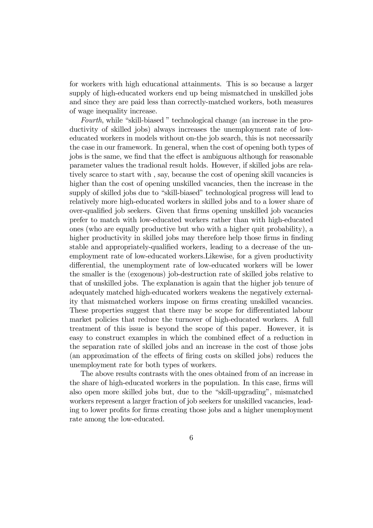for workers with high educational attainments. This is so because a larger supply of high-educated workers end up being mismatched in unskilled jobs and since they are paid less than correctly-matched workers, both measures of wage inequality increase.

Fourth, while "skill-biased " technological change (an increase in the productivity of skilled jobs) always increases the unemployment rate of loweducated workers in models without on-the job search, this is not necessarily the case in our framework. In general, when the cost of opening both types of jobs is the same, we find that the effect is ambiguous although for reasonable parameter values the tradional result holds. However, if skilled jobs are relatively scarce to start with , say, because the cost of opening skill vacancies is higher than the cost of opening unskilled vacancies, then the increase in the supply of skilled jobs due to "skill-biased" technological progress will lead to relatively more high-educated workers in skilled jobs and to a lower share of over-qualified job seekers. Given that firms opening unskilled job vacancies prefer to match with low-educated workers rather than with high-educated ones (who are equally productive but who with a higher quit probability), a higher productivity in skilled jobs may therefore help those firms in finding stable and appropriately-qualified workers, leading to a decrease of the unemployment rate of low-educated workers.Likewise, for a given productivity differential, the unemployment rate of low-educated workers will be lower the smaller is the (exogenous) job-destruction rate of skilled jobs relative to that of unskilled jobs. The explanation is again that the higher job tenure of adequately matched high-educated workers weakens the negatively externality that mismatched workers impose on firms creating unskilled vacancies. These properties suggest that there may be scope for differentiated labour market policies that reduce the turnover of high-educated workers. A full treatment of this issue is beyond the scope of this paper. However, it is easy to construct examples in which the combined effect of a reduction in the separation rate of skilled jobs and an increase in the cost of those jobs (an approximation of the effects of firing costs on skilled jobs) reduces the unemployment rate for both types of workers.

The above results contrasts with the ones obtained from of an increase in the share of high-educated workers in the population. In this case, firms will also open more skilled jobs but, due to the "skill-upgrading", mismatched workers represent a larger fraction of job seekers for unskilled vacancies, leading to lower profits for firms creating those jobs and a higher unemployment rate among the low-educated.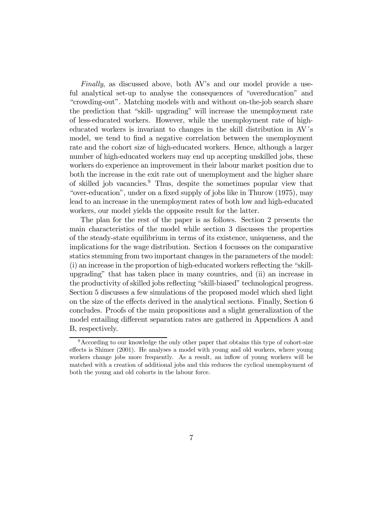Finally, as discussed above, both AV's and our model provide a useful analytical set-up to analyse the consequences of "overeducation" and "crowding-out". Matching models with and without on-the-job search share the prediction that "skill- upgrading" will increase the unemployment rate of less-educated workers. However, while the unemployment rate of higheducated workers is invariant to changes in the skill distribution in AV´s model, we tend to find a negative correlation between the unemployment rate and the cohort size of high-educated workers. Hence, although a larger number of high-educated workers may end up accepting unskilled jobs, these workers do experience an improvement in their labour market position due to both the increase in the exit rate out of unemployment and the higher share of skilled job vacancies.9 Thus, despite the sometimes popular view that "over-education", under on a fixed supply of jobs like in Thurow (1975), may lead to an increase in the unemployment rates of both low and high-educated workers, our model yields the opposite result for the latter.

The plan for the rest of the paper is as follows. Section 2 presents the main characteristics of the model while section 3 discusses the properties of the steady-state equilibrium in terms of its existence, uniqueness, and the implications for the wage distribution. Section 4 focusses on the comparative statics stemming from two important changes in the parameters of the model: (i) an increase in the proportion of high-educated workers reflecting the "skillupgrading" that has taken place in many countries, and (ii) an increase in the productivity of skilled jobs reflecting "skill-biased" technological progress. Section 5 discusses a few simulations of the proposed model which shed light on the size of the effects derived in the analytical sections. Finally, Section 6 concludes. Proofs of the main propositions and a slight generalization of the model entailing different separation rates are gathered in Appendices A and B, respectively.

<sup>&</sup>lt;sup>9</sup>According to our knowledge the only other paper that obtains this type of cohort-size effects is Shimer (2001). He analyses a model with young and old workers, where young workers change jobs more frequently. As a result, an inflow of young workers will be matched with a creation of additional jobs and this reduces the cyclical unemployment of both the young and old cohorts in the labour force.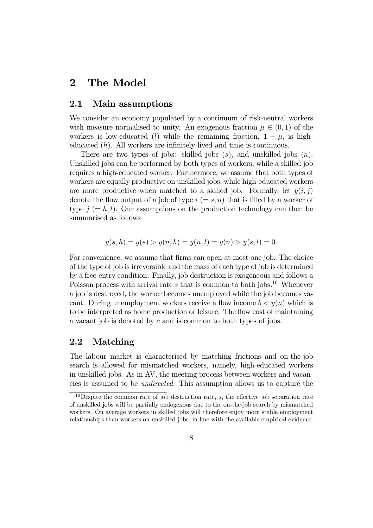## 2 The Model

### 2.1 Main assumptions

We consider an economy populated by a continuum of risk-neutral workers with measure normalised to unity. An exogenous fraction  $\mu \in (0,1)$  of the workers is low-educated (l) while the remaining fraction,  $1 - \mu$ , is higheducated  $(h)$ . All workers are infinitely-lived and time is continuous.

There are two types of jobs: skilled jobs  $(s)$ , and unskilled jobs  $(n)$ . Unskilled jobs can be performed by both types of workers, while a skilled job requires a high-educated worker. Furthermore, we assume that both types of workers are equally productive on unskilled jobs, while high-educated workers are more productive when matched to a skilled job. Formally, let  $y(i, j)$ denote the flow output of a job of type  $i (= s, n)$  that is filled by a worker of type  $j (= h, l)$ . Our assumptions on the production technology can then be summarised as follows

$$
y(s, h) = y(s) > y(n, h) = y(n, l) = y(n) > y(s, l) = 0.
$$

For convenience, we assume that firms can open at most one job. The choice of the type of job is irreversible and the mass of each type of job is determined by a free-entry condition. Finally, job destruction is exogeneous and follows a Poisson process with arrival rate  $s$  that is common to both jobs.<sup>10</sup> Whenever a job is destroyed, the worker becomes unemployed while the job becomes vacant. During unemployment workers receive a flow income  $b < y(n)$  which is to be interpreted as home production or leisure. The flow cost of maintaining a vacant job is denoted by c and is common to both types of jobs.

### 2.2 Matching

The labour market is characterised by matching frictions and on-the-job search is allowed for mismatched workers, namely, high-educated workers in unskilled jobs. As in AV, the meeting process between workers and vacancies is assumed to be undirected. This assumption allows us to capture the

 $10$ Despite the common rate of job destruction rate, s, the effective job separation rate of unskilled jobs will be partially endogenous due to the on-the-job search by mismatched workers. On average workers in skilled jobs will therefore enjoy more stable employment relationships than workers on unskilled jobs, in line with the available empirical evidence.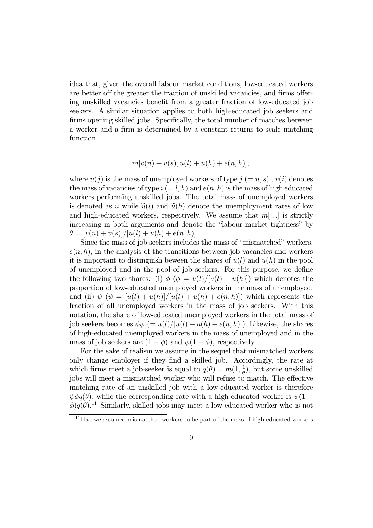idea that, given the overall labour market conditions, low-educated workers are better off the greater the fraction of unskilled vacancies, and firms offering unskilled vacancies benefit from a greater fraction of low-educated job seekers. A similar situation applies to both high-educated job seekers and firms opening skilled jobs. Specifically, the total number of matches between a worker and a firm is determined by a constant returns to scale matching function

$$
m[v(n) + v(s), u(l) + u(h) + e(n, h)],
$$

where  $u(j)$  is the mass of unemployed workers of type  $j (= n, s)$ ,  $v(i)$  denotes the mass of vacancies of type  $i (= l, h)$  and  $e(n, h)$  is the mass of high educated workers performing unskilled jobs. The total mass of unemployed workers is denoted as u while  $\tilde{u}(l)$  and  $\tilde{u}(h)$  denote the unemployment rates of low and high-educated workers, respectively. We assume that  $m[.,.]$  is strictly increasing in both arguments and denote the "labour market tightness" by  $\theta = [v(n) + v(s)]/[u(l) + u(h) + e(n, h)].$ 

Since the mass of job seekers includes the mass of "mismatched" workers,  $e(n, h)$ , in the analysis of the transitions between job vacancies and workers it is important to distinguish beween the shares of  $u(l)$  and  $u(h)$  in the pool of unemployed and in the pool of job seekers. For this purpose, we define the following two shares: (i)  $\phi (\phi = u(l)/[u(l) + u(h)])$  which denotes the proportion of low-educated unemployed workers in the mass of unemployed, and (ii)  $\psi$   $(\psi = [u(l) + u(h)]/[u(l) + u(h) + e(n, h)])$  which represents the fraction of all unemployed workers in the mass of job seekers. With this notation, the share of low-educated unemployed workers in the total mass of job seekers becomes  $\phi \psi = u(l)/[u(l) + u(h) + e(n, h)]$ . Likewise, the shares of high-educated unemployed workers in the mass of unemployed and in the mass of job seekers are  $(1 - \phi)$  and  $\psi(1 - \phi)$ , respectively.

For the sake of realism we assume in the sequel that mismatched workers only change employer if they find a skilled job. Accordingly, the rate at which firms meet a job-seeker is equal to  $q(\theta) = m(1, \frac{1}{\theta})$ , but some unskilled jobs will meet a mismatched worker who will refuse to match. The effective matching rate of an unskilled job with a low-educated worker is therefore  $\psi \phi q(\theta)$ , while the corresponding rate with a high-educated worker is  $\psi(1 \phi$ )q( $\theta$ ).<sup>11</sup> Similarly, skilled jobs may meet a low-educated worker who is not

 $11$ Had we assumed mismatched workers to be part of the mass of high-educated workers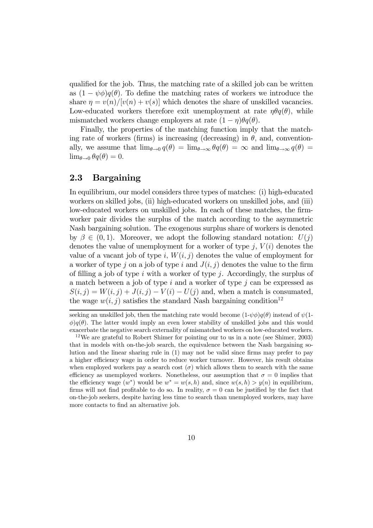qualified for the job. Thus, the matching rate of a skilled job can be written as  $(1 - \psi \phi)q(\theta)$ . To define the matching rates of workers we introduce the share  $\eta = v(n)/[v(n) + v(s)]$  which denotes the share of unskilled vacancies. Low-educated workers therefore exit unemployment at rate  $\eta \theta q(\theta)$ , while mismatched workers change employers at rate  $(1 - \eta)\theta q(\theta)$ .

Finally, the properties of the matching function imply that the matching rate of workers (firms) is increasing (decreasing) in  $\theta$ , and, conventionally, we assume that  $\lim_{\theta\to 0} q(\theta) = \lim_{\theta\to \infty} \theta q(\theta) = \infty$  and  $\lim_{\theta\to \infty} q(\theta) =$  $\lim_{\theta \to 0} \theta q(\theta) = 0.$ 

### 2.3 Bargaining

In equilibrium, our model considers three types of matches: (i) high-educated workers on skilled jobs, (ii) high-educated workers on unskilled jobs, and (iii) low-educated workers on unskilled jobs. In each of these matches, the firmworker pair divides the surplus of the match according to the asymmetric Nash bargaining solution. The exogenous surplus share of workers is denoted by  $\beta \in (0, 1)$ . Moreover, we adopt the following standard notation:  $U(j)$ denotes the value of unemployment for a worker of type  $i, V(i)$  denotes the value of a vacant job of type i,  $W(i, j)$  denotes the value of employment for a worker of type j on a job of type i and  $J(i, j)$  denotes the value to the firm of filling a job of type i with a worker of type j. Accordingly, the surplus of a match between a job of type i and a worker of type i can be expressed as  $S(i, j) = W(i, j) + J(i, j) - V(i) - U(j)$  and, when a match is consumated, the wage  $w(i, j)$  satisfies the standard Nash bargaining condition<sup>12</sup>

seeking an unskilled job, then the matching rate would become  $(1-\psi \phi)q(\theta)$  instead of  $\psi$ (1- $\phi$ )q( $\theta$ ). The latter would imply an even lower stability of unskilled jobs and this would exacerbate the negative search externality of mismatched workers on low-educated workers.

<sup>12</sup>We are grateful to Robert Shimer for pointing our to us in a note (see Shimer, 2003) that in models with on-the-job search, the equivalence between the Nash bargaining solution and the linear sharing rule in (1) may not be valid since firms may prefer to pay a higher efficiency wage in order to reduce worker turnover. However, his result obtains when employed workers pay a search cost  $(\sigma)$  which allows them to search with the same efficiency as unemployed workers. Nonetheless, our assumption that  $\sigma = 0$  implies that the efficiency wage  $(w^*)$  would be  $w^* = w(s, h)$  and, since  $w(s, h) > y(n)$  in equilibrium, firms will not find profitable to do so. In reality,  $\sigma = 0$  can be justified by the fact that on-the-job seekers, despite having less time to search than unemployed workers, may have more contacts to find an alternative job.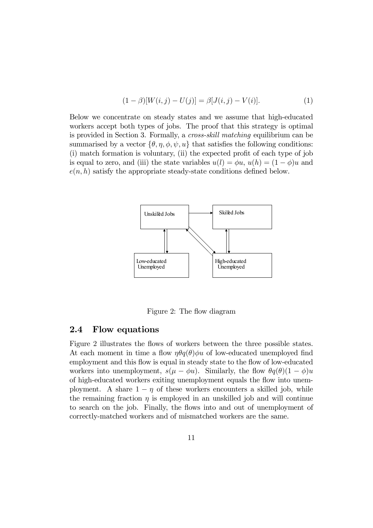$$
(1 - \beta)[W(i, j) - U(j)] = \beta[J(i, j) - V(i)].
$$
\n(1)

Below we concentrate on steady states and we assume that high-educated workers accept both types of jobs. The proof that this strategy is optimal is provided in Section 3. Formally, a cross-skill matching equilibrium can be summarised by a vector  $\{\theta, \eta, \phi, \psi, u\}$  that satisfies the following conditions: (i) match formation is voluntary, (ii) the expected profit of each type of job is equal to zero, and (iii) the state variables  $u(l) = \phi u$ ,  $u(h) = (1 - \phi)u$  and  $e(n, h)$  satisfy the appropriate steady-state conditions defined below.



Figure 2: The flow diagram

### 2.4 Flow equations

Figure 2 illustrates the flows of workers between the three possible states. At each moment in time a flow  $\eta \theta q(\theta) \phi u$  of low-educated unemployed find employment and this flow is equal in steady state to the flow of low-educated workers into unemployment,  $s(\mu - \phi u)$ . Similarly, the flow  $\theta q(\theta)(1 - \phi)u$ of high-educated workers exiting unemployment equals the flow into unemployment. A share  $1 - \eta$  of these workers encounters a skilled job, while the remaining fraction  $\eta$  is employed in an unskilled job and will continue to search on the job. Finally, the flows into and out of unemployment of correctly-matched workers and of mismatched workers are the same.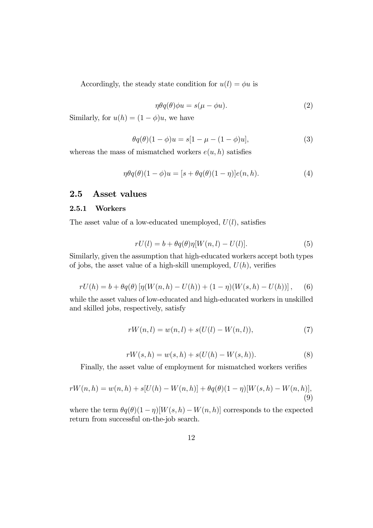Accordingly, the steady state condition for  $u(l) = \phi u$  is

$$
\eta \theta q(\theta) \phi u = s(\mu - \phi u). \tag{2}
$$

Similarly, for  $u(h) = (1 - \phi)u$ , we have

$$
\theta q(\theta)(1 - \phi)u = s[1 - \mu - (1 - \phi)u],
$$
\n(3)

whereas the mass of mismatched workers  $e(u, h)$  satisfies

$$
\eta \theta q(\theta)(1-\phi)u = [s + \theta q(\theta)(1-\eta)]e(n,h). \tag{4}
$$

### 2.5 Asset values

#### 2.5.1 Workers

The asset value of a low-educated unemployed,  $U(l)$ , satisfies

$$
rU(l) = b + \theta q(\theta) \eta[W(n, l) - U(l)]. \tag{5}
$$

Similarly, given the assumption that high-educated workers accept both types of jobs, the asset value of a high-skill unemployed,  $U(h)$ , verifies

$$
rU(h) = b + \theta q(\theta) \left[ \eta(W(n,h) - U(h)) + (1 - \eta)(W(s,h) - U(h)) \right], \quad (6)
$$

while the asset values of low-educated and high-educated workers in unskilled and skilled jobs, respectively, satisfy

$$
rW(n, l) = w(n, l) + s(U(l) - W(n, l)),
$$
\n(7)

$$
rW(s,h) = w(s,h) + s(U(h) - W(s,h)).
$$
\n(8)

Finally, the asset value of employment for mismatched workers verifies

$$
rW(n,h) = w(n,h) + s[U(h) - W(n,h)] + \theta q(\theta)(1-\eta)[W(s,h) - W(n,h)],
$$
\n(9)

where the term  $\theta q(\theta)(1-\eta)[W(s,h)-W(n,h)]$  corresponds to the expected return from successful on-the-job search.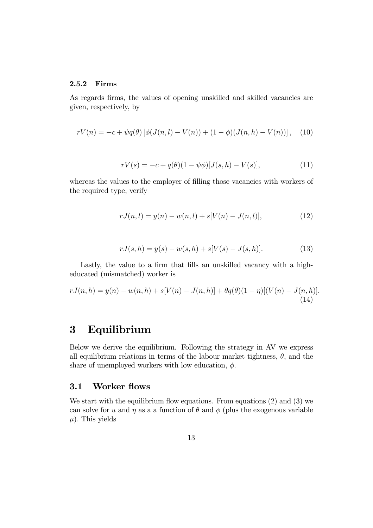#### 2.5.2 Firms

As regards firms, the values of opening unskilled and skilled vacancies are given, respectively, by

$$
rV(n) = -c + \psi q(\theta) \left[ \phi(J(n,l) - V(n)) + (1 - \phi)(J(n,h) - V(n)) \right], \quad (10)
$$

$$
rV(s) = -c + q(\theta)(1 - \psi\phi)[J(s, h) - V(s)],
$$
\n(11)

whereas the values to the employer of filling those vacancies with workers of the required type, verify

$$
rJ(n,l) = y(n) - w(n,l) + s[V(n) - J(n,l)],
$$
\n(12)

$$
rJ(s,h) = y(s) - w(s,h) + s[V(s) - J(s,h)].
$$
\n(13)

Lastly, the value to a firm that fills an unskilled vacancy with a higheducated (mismatched) worker is

$$
rJ(n,h) = y(n) - w(n,h) + s[V(n) - J(n,h)] + \theta q(\theta)(1-\eta)[(V(n) - J(n,h)].
$$
\n(14)

## 3 Equilibrium

Below we derive the equilibrium. Following the strategy in AV we express all equilibrium relations in terms of the labour market tightness,  $\theta$ , and the share of unemployed workers with low education,  $\phi$ .

### 3.1 Worker flows

We start with the equilibrium flow equations. From equations (2) and (3) we can solve for u and  $\eta$  as a a function of  $\theta$  and  $\phi$  (plus the exogenous variable  $\mu$ ). This yields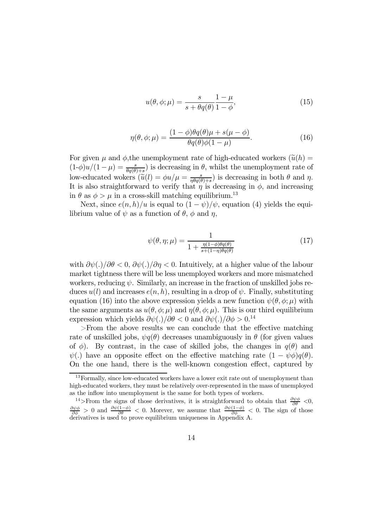$$
u(\theta, \phi; \mu) = \frac{s}{s + \theta q(\theta)} \frac{1 - \mu}{1 - \phi},\tag{15}
$$

$$
\eta(\theta,\phi;\mu) = \frac{(1-\phi)\theta q(\theta)\mu + s(\mu-\phi)}{\theta q(\theta)\phi(1-\mu)}.
$$
\n(16)

For given  $\mu$  and  $\phi$ , the unemployment rate of high-educated workers  $(\tilde{u}(h) =$  $(1-\phi)u/(1-\mu) = \frac{s}{\theta q(\theta)+s}$  is decreasing in  $\theta$ , whilst the unemployment rate of low-educated wokers  $(\widetilde{u}(l) = \phi u/\mu = \frac{s}{\eta \theta q(\theta) + s})$  is decreasing in both  $\theta$  and  $\eta$ . It is also straightforward to verify that  $\eta$  is decreasing in  $\phi$ , and increasing in  $\theta$  as  $\phi > \mu$  in a cross-skill matching equilibrium.<sup>13</sup>

Next, since  $e(n, h)/u$  is equal to  $(1 - \psi)/\psi$ , equation (4) yields the equilibrium value of  $\psi$  as a function of  $\theta$ ,  $\phi$  and  $\eta$ ,

$$
\psi(\theta, \eta; \mu) = \frac{1}{1 + \frac{\eta(1-\phi)\theta q(\theta)}{s + (1-\eta)\theta q(\theta)}}
$$
(17)

with  $\frac{\partial \psi(.)}{\partial \theta} < 0$ ,  $\frac{\partial \psi(.)}{\partial \eta} < 0$ . Intuitively, at a higher value of the labour market tightness there will be less unemployed workers and more mismatched workers, reducing  $\psi$ . Similarly, an increase in the fraction of unskilled jobs reduces  $u(l)$  and increases  $e(n, h)$ , resulting in a drop of  $\psi$ . Finally, substituting equation (16) into the above expression yields a new function  $\psi(\theta, \phi; \mu)$  with the same arguments as  $u(\theta, \phi; \mu)$  and  $\eta(\theta, \phi; \mu)$ . This is our third equilibrium expression which yields  $\partial \psi(.)/\partial \theta < 0$  and  $\partial \psi(.)/\partial \phi > 0^{14}$ 

>From the above results we can conclude that the effective matching rate of unskilled jobs,  $\psi q(\theta)$  decreases unambiguously in  $\theta$  (for given values of  $\phi$ ). By contrast, in the case of skilled jobs, the changes in  $q(\theta)$  and  $\psi(.)$  have an opposite effect on the effective matching rate  $(1 - \psi \phi)q(\theta)$ . On the one hand, there is the well-known congestion effect, captured by

<sup>&</sup>lt;sup>13</sup>Formally, since low-educated workers have a lower exit rate out of unemployment than high-educated workers, they must be relatively over-represented in the mass of unemployed as the inflow into unemployment is the same for both types of workers.

<sup>&</sup>lt;sup>14</sup>>From the signs of those derivatives, it is straightforward to obtain that  $\frac{\partial \psi \phi}{\partial \theta} < 0$ ,  $\frac{\partial \psi \phi}{\partial \phi} > 0$  and  $\frac{\partial \psi(1-\phi)}{\partial \theta} < 0$ . Morever, we assume that  $\frac{\partial \psi(1-\phi)}{\partial \phi} < 0$ . The sign of those derivatives is used to prove equilibrium uniqueness in Appendix A.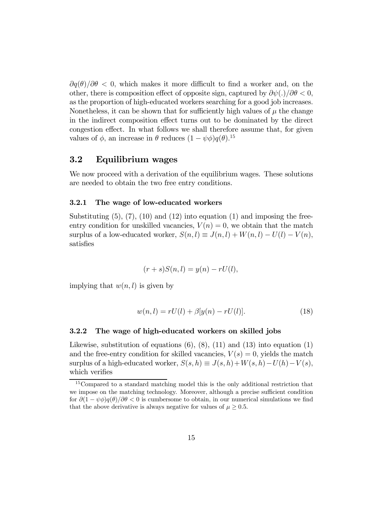$\partial q(\theta)/\partial \theta < 0$ , which makes it more difficult to find a worker and, on the other, there is composition effect of opposite sign, captured by  $\partial \psi(.)/\partial \theta < 0$ , as the proportion of high-educated workers searching for a good job increases. Nonetheless, it can be shown that for sufficiently high values of  $\mu$  the change in the indirect composition effect turns out to be dominated by the direct congestion effect. In what follows we shall therefore assume that, for given values of  $\phi$ , an increase in  $\theta$  reduces  $(1 - \psi \phi) q(\theta)$ .<sup>15</sup>

### 3.2 Equilibrium wages

We now proceed with a derivation of the equilibrium wages. These solutions are needed to obtain the two free entry conditions.

#### 3.2.1 The wage of low-educated workers

Substituting  $(5)$ ,  $(7)$ ,  $(10)$  and  $(12)$  into equation  $(1)$  and imposing the freeentry condition for unskilled vacancies,  $V(n)=0$ , we obtain that the match surplus of a low-educated worker,  $S(n, l) \equiv J(n, l) + W(n, l) - U(l) - V(n)$ , satisfies

$$
(r+s)S(n,l) = y(n) - rU(l),
$$

implying that  $w(n, l)$  is given by

$$
w(n, l) = rU(l) + \beta[y(n) - rU(l)].
$$
\n(18)

#### 3.2.2 The wage of high-educated workers on skilled jobs

Likewise, substitution of equations  $(6)$ ,  $(8)$ ,  $(11)$  and  $(13)$  into equation  $(1)$ and the free-entry condition for skilled vacancies,  $V(s)=0$ , yields the match surplus of a high-educated worker,  $S(s, h) \equiv J(s, h) + W(s, h) - U(h) - V(s)$ , which verifies

<sup>&</sup>lt;sup>15</sup>Compared to a standard matching model this is the only additional restriction that we impose on the matching technology. Moreover, although a precise sufficient condition for  $\partial(1 - \psi \phi)q(\theta)/\partial \theta < 0$  is cumbersome to obtain, in our numerical simulations we find that the above derivative is always negative for values of  $\mu \geq 0.5$ .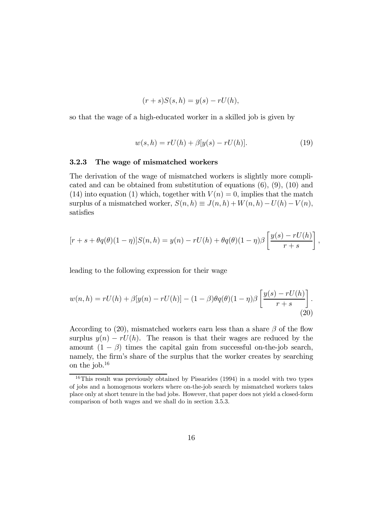$$
(r+s)S(s,h) = y(s) - rU(h),
$$

so that the wage of a high-educated worker in a skilled job is given by

$$
w(s,h) = rU(h) + \beta[y(s) - rU(h)].
$$
\n(19)

,

#### 3.2.3 The wage of mismatched workers

The derivation of the wage of mismatched workers is slightly more complicated and can be obtained from substitution of equations  $(6)$ ,  $(9)$ ,  $(10)$  and (14) into equation (1) which, together with  $V(n)=0$ , implies that the match surplus of a mismatched worker,  $S(n, h) \equiv J(n, h) + W(n, h) - U(h) - V(n)$ , satisfies

$$
[r+s+\theta q(\theta)(1-\eta)]S(n,h) = y(n) - rU(h) + \theta q(\theta)(1-\eta)\beta \left[\frac{y(s) - rU(h)}{r+s}\right]
$$

leading to the following expression for their wage

$$
w(n,h) = rU(h) + \beta[y(n) - rU(h)] - (1-\beta)\theta q(\theta)(1-\eta)\beta \left[\frac{y(s) - rU(h)}{r+s}\right].
$$
\n(20)

According to (20), mismatched workers earn less than a share  $\beta$  of the flow surplus  $y(n) - rU(n)$ . The reason is that their wages are reduced by the amount  $(1 - \beta)$  times the capital gain from successful on-the-job search, namely, the firm's share of the surplus that the worker creates by searching on the job.16

<sup>&</sup>lt;sup>16</sup>This result was previously obtained by Pissarides (1994) in a model with two types of jobs and a homogenous workers where on-the-job search by mismatched workers takes place only at short tenure in the bad jobs. However, that paper does not yield a closed-form comparison of both wages and we shall do in section 3.5.3.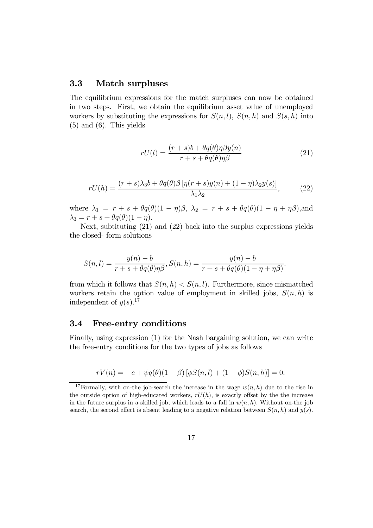### 3.3 Match surpluses

The equilibrium expressions for the match surpluses can now be obtained in two steps. First, we obtain the equilibrium asset value of unemployed workers by substituting the expressions for  $S(n, l)$ ,  $S(n, h)$  and  $S(s, h)$  into  $(5)$  and  $(6)$ . This yields

$$
rU(l) = \frac{(r+s)b + \theta q(\theta)\eta\beta y(n)}{r+s + \theta q(\theta)\eta\beta}
$$
\n(21)

$$
rU(h) = \frac{(r+s)\lambda_3 b + \theta q(\theta)\beta \left[\eta(r+s)y(n) + (1-\eta)\lambda_2 y(s)\right]}{\lambda_1 \lambda_2},\tag{22}
$$

where  $\lambda_1 = r + s + \theta q(\theta)(1 - \eta)\beta$ ,  $\lambda_2 = r + s + \theta q(\theta)(1 - \eta + \eta\beta)$ , and  $\lambda_3 = r + s + \theta q(\theta)(1 - \eta).$ 

Next, subtituting (21) and (22) back into the surplus expressions yields the closed- form solutions

$$
S(n,l) = \frac{y(n)-b}{r+s+\theta q(\theta)\eta\beta}, S(n,h) = \frac{y(n)-b}{r+s+\theta q(\theta)(1-\eta+\eta\beta)}.
$$

from which it follows that  $S(n, h) < S(n, l)$ . Furthermore, since mismatched workers retain the option value of employment in skilled jobs,  $S(n, h)$  is independent of  $y(s)$ <sup>17</sup>

### 3.4 Free-entry conditions

Finally, using expression (1) for the Nash bargaining solution, we can write the free-entry conditions for the two types of jobs as follows

$$
rV(n) = -c + \psi q(\theta)(1 - \beta) [\phi S(n, l) + (1 - \phi)S(n, h)] = 0,
$$

<sup>&</sup>lt;sup>17</sup>Formally, with on-the job-search the increase in the wage  $w(n, h)$  due to the rise in the outside option of high-educated workers,  $rU(h)$ , is exactly offset by the the increase in the future surplus in a skilled job, which leads to a fall in  $w(n, h)$ . Without on-the job search, the second effect is absent leading to a negative relation between  $S(n, h)$  and  $y(s)$ .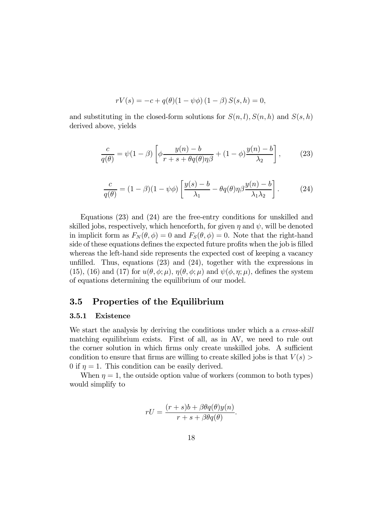$$
rV(s) = -c + q(\theta)(1 - \psi\phi) (1 - \beta) S(s, h) = 0,
$$

and substituting in the closed-form solutions for  $S(n, l)$ ,  $S(n, h)$  and  $S(s, h)$ derived above, yields

$$
\frac{c}{q(\theta)} = \psi(1-\beta) \left[ \phi \frac{y(n)-b}{r+s+\theta q(\theta)\eta\beta} + (1-\phi) \frac{y(n)-b}{\lambda_2} \right],
$$
 (23)

$$
\frac{c}{q(\theta)} = (1 - \beta)(1 - \psi\phi) \left[ \frac{y(s) - b}{\lambda_1} - \theta q(\theta) \eta \beta \frac{y(n) - b}{\lambda_1 \lambda_2} \right].
$$
 (24)

Equations (23) and (24) are the free-entry conditions for unskilled and skilled jobs, respectively, which henceforth, for given  $\eta$  and  $\psi$ , will be denoted in implicit form as  $F_N(\theta, \phi) = 0$  and  $F_S(\theta, \phi) = 0$ . Note that the right-hand side of these equations defines the expected future profits when the job is filled whereas the left-hand side represents the expected cost of keeping a vacancy unfilled. Thus, equations (23) and (24), together with the expressions in (15), (16) and (17) for  $u(\theta, \phi; \mu)$ ,  $\eta(\theta, \phi; \mu)$  and  $\psi(\phi, \eta; \mu)$ , defines the system of equations determining the equilibrium of our model.

### 3.5 Properties of the Equilibrium

#### 3.5.1 Existence

We start the analysis by deriving the conditions under which a a *cross-skill* matching equilibrium exists. First of all, as in AV, we need to rule out the corner solution in which firms only create unskilled jobs. A sufficient condition to ensure that firms are willing to create skilled jobs is that  $V(s)$ 0 if  $\eta = 1$ . This condition can be easily derived.

When  $\eta = 1$ , the outside option value of workers (common to both types) would simplify to

$$
rU = \frac{(r+s)b + \beta\theta q(\theta)y(n)}{r+s + \beta\theta q(\theta)}.
$$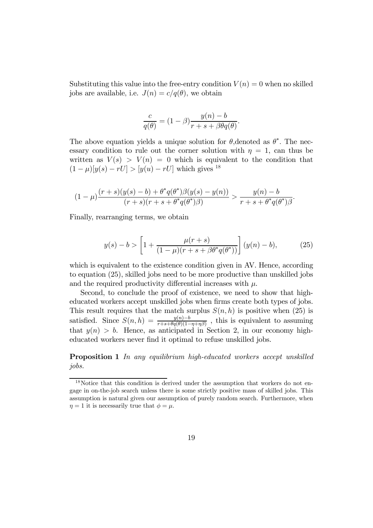Substituting this value into the free-entry condition  $V(n)=0$  when no skilled jobs are available, i.e.  $J(n) = c/q(\theta)$ , we obtain

$$
\frac{c}{q(\theta)} = (1 - \beta) \frac{y(n) - b}{r + s + \beta \theta q(\theta)}.
$$

The above equation yields a unique solution for  $\theta$ , denoted as  $\theta^*$ . The necessary condition to rule out the corner solution with  $\eta = 1$ , can thus be written as  $V(s) > V(n) = 0$  which is equivalent to the condition that  $(1 - \mu)[y(s) - rU] > [y(u) - rU]$  which gives <sup>18</sup>

$$
(1 - \mu) \frac{(r + s)(y(s) - b) + \theta^* q(\theta^*) \beta(y(s) - y(n))}{(r + s)(r + s + \theta^* q(\theta^*) \beta)} > \frac{y(n) - b}{r + s + \theta^* q(\theta^*) \beta}.
$$

Finally, rearranging terms, we obtain

$$
y(s) - b > \left[1 + \frac{\mu(r+s)}{(1-\mu)(r+s+\beta\theta^*q(\theta^*))}\right](y(n) - b),
$$
 (25)

which is equivalent to the existence condition given in AV. Hence, according to equation (25), skilled jobs need to be more productive than unskilled jobs and the required productivity differential increases with  $\mu$ .

Second, to conclude the proof of existence, we need to show that higheducated workers accept unskilled jobs when firms create both types of jobs. This result requires that the match surplus  $S(n, h)$  is positive when (25) is satisfied. Since  $S(n, h) = \frac{y(n)-b}{r+s+\theta q(\theta)(1-\eta+\eta\beta)}$ , this is equivalent to assuming that  $y(n) > b$ . Hence, as anticipated in Section 2, in our economy higheducated workers never find it optimal to refuse unskilled jobs.

Proposition 1 In any equilibrium high-educated workers accept unskilled jobs.

<sup>&</sup>lt;sup>18</sup>Notice that this condition is derived under the assumption that workers do not engage in on-the-job search unless there is some strictly positive mass of skilled jobs. This assumption is natural given our assumption of purely random search. Furthermore, when  $\eta = 1$  it is necessarily true that  $\phi = \mu$ .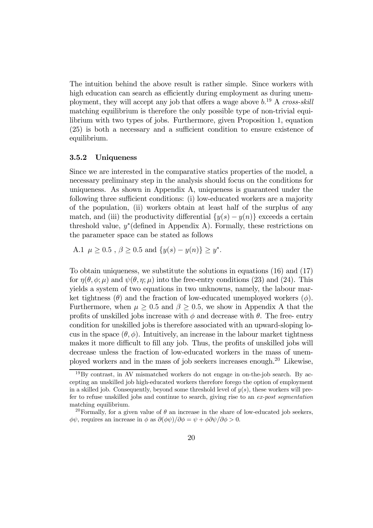The intuition behind the above result is rather simple. Since workers with high education can search as efficiently during employment as during unemployment, they will accept any job that offers a wage above  $b^{19}$  A cross-skill matching equilibrium is therefore the only possible type of non-trivial equilibrium with two types of jobs. Furthermore, given Proposition 1, equation (25) is both a necessary and a sufficient condition to ensure existence of equilibrium.

#### 3.5.2 Uniqueness

Since we are interested in the comparative statics properties of the model, a necessary preliminary step in the analysis should focus on the conditions for uniqueness. As shown in Appendix A, uniqueness is guaranteed under the following three sufficient conditions: (i) low-educated workers are a majority of the population, (ii) workers obtain at least half of the surplus of any match, and (iii) the productivity differential  $\{y(s) - y(n)\}\)$  exceeds a certain threshold value,  $y^*$ (defined in Appendix A). Formally, these restrictions on the parameter space can be stated as follows

A.1  $\mu > 0.5$ ,  $\beta \ge 0.5$  and  $\{y(s) - y(n)\} \ge y^*$ .

To obtain uniqueness, we substitute the solutions in equations (16) and (17) for  $\eta(\theta, \phi; \mu)$  and  $\psi(\theta, \eta; \mu)$  into the free-entry conditions (23) and (24). This yields a system of two equations in two unknowns, namely, the labour market tightness  $(\theta)$  and the fraction of low-educated unemployed workers  $(\phi)$ . Furthermore, when  $\mu > 0.5$  and  $\beta > 0.5$ , we show in Appendix A that the profits of unskilled jobs increase with  $\phi$  and decrease with  $\theta$ . The free-entry condition for unskilled jobs is therefore associated with an upward-sloping locus in the space  $(\theta, \phi)$ . Intuitively, an increase in the labour market tightness makes it more difficult to fill any job. Thus, the profits of unskilled jobs will decrease unless the fraction of low-educated workers in the mass of unemployed workers and in the mass of job seekers increases enough.20 Likewise,

 $19\text{By contrast, in AV mismatched workers do not engage in on-the-job search. By ac$ cepting an unskilled job high-educated workers therefore forego the option of employment in a skilled job. Consequently, beyond some threshold level of  $y(s)$ , these workers will prefer to refuse unskilled jobs and continue to search, giving rise to an ex-post segmentation matching equilibrium.

<sup>&</sup>lt;sup>20</sup>Formally, for a given value of  $\theta$  an increase in the share of low-educated job seekers,  $\phi\psi$ , requires an increase in  $\phi$  as  $\partial(\phi\psi)/\partial\phi = \psi + \phi\partial\psi/\partial\phi > 0$ .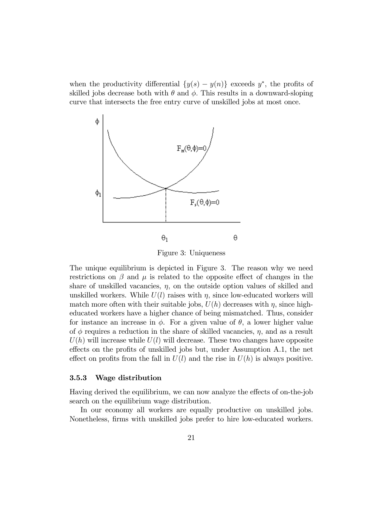when the productivity differential  $\{y(s) - y(n)\}\)$  exceeds  $y^*$ , the profits of skilled jobs decrease both with  $\theta$  and  $\phi$ . This results in a downward-sloping curve that intersects the free entry curve of unskilled jobs at most once.



Figure 3: Uniqueness

The unique equilibrium is depicted in Figure 3. The reason why we need restrictions on  $\beta$  and  $\mu$  is related to the opposite effect of changes in the share of unskilled vacancies,  $\eta$ , on the outside option values of skilled and unskilled workers. While  $U(l)$  raises with  $\eta$ , since low-educated workers will match more often with their suitable jobs,  $U(h)$  decreases with  $\eta$ , since higheducated workers have a higher chance of being mismatched. Thus, consider for instance an increase in  $\phi$ . For a given value of  $\theta$ , a lower higher value of  $\phi$  requires a reduction in the share of skilled vacancies,  $\eta$ , and as a result  $U(h)$  will increase while  $U(l)$  will decrease. These two changes have opposite effects on the profits of unskilled jobs but, under Assumption A.1, the net effect on profits from the fall in  $U(l)$  and the rise in  $U(h)$  is always positive.

#### 3.5.3 Wage distribution

Having derived the equilibrium, we can now analyze the effects of on-the-job search on the equilibrium wage distribution.

In our economy all workers are equally productive on unskilled jobs. Nonetheless, firms with unskilled jobs prefer to hire low-educated workers.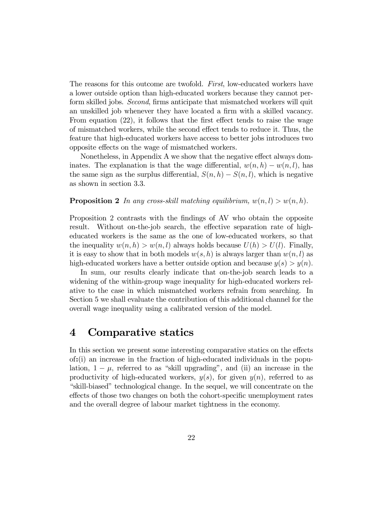The reasons for this outcome are twofold. First, low-educated workers have a lower outside option than high-educated workers because they cannot perform skilled jobs. Second, firms anticipate that mismatched workers will quit an unskilled job whenever they have located a firm with a skilled vacancy. From equation (22), it follows that the first effect tends to raise the wage of mismatched workers, while the second effect tends to reduce it. Thus, the feature that high-educated workers have access to better jobs introduces two opposite effects on the wage of mismatched workers.

Nonetheless, in Appendix A we show that the negative effect always dominates. The explanation is that the wage differential,  $w(n, h) - w(n, l)$ , has the same sign as the surplus differential,  $S(n, h) - S(n, l)$ , which is negative as shown in section 3.3.

**Proposition 2** In any cross-skill matching equilibrium,  $w(n, l) > w(n, h)$ .

Proposition 2 contrasts with the findings of AV who obtain the opposite result. Without on-the-job search, the effective separation rate of higheducated workers is the same as the one of low-educated workers, so that the inequality  $w(n, h) > w(n, l)$  always holds because  $U(h) > U(l)$ . Finally, it is easy to show that in both models  $w(s, h)$  is always larger than  $w(n, l)$  as high-educated workers have a better outside option and because  $y(s) > y(n)$ .

In sum, our results clearly indicate that on-the-job search leads to a widening of the within-group wage inequality for high-educated workers relative to the case in which mismatched workers refrain from searching. In Section 5 we shall evaluate the contribution of this additional channel for the overall wage inequality using a calibrated version of the model.

## 4 Comparative statics

In this section we present some interesting comparative statics on the effects of:(i) an increase in the fraction of high-educated individuals in the population,  $1 - \mu$ , referred to as "skill upgrading", and (ii) an increase in the productivity of high-educated workers,  $y(s)$ , for given  $y(n)$ , referred to as "skill-biased" technological change. In the sequel, we will concentrate on the effects of those two changes on both the cohort-specific unemployment rates and the overall degree of labour market tightness in the economy.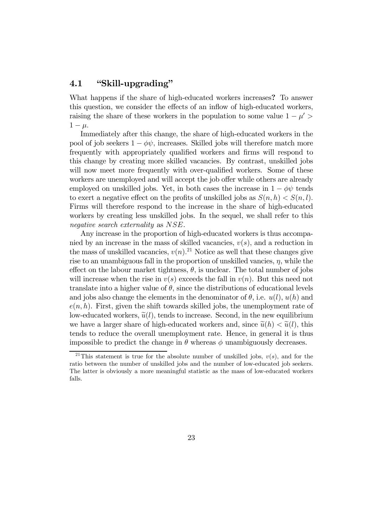### 4.1 "Skill-upgrading"

What happens if the share of high-educated workers increases? To answer this question, we consider the effects of an inflow of high-educated workers, raising the share of these workers in the population to some value  $1 - \mu' >$  $1 - \mu$ .

Immediately after this change, the share of high-educated workers in the pool of job seekers  $1 - \phi \psi$ , increases. Skilled jobs will therefore match more frequently with appropriately qualified workers and firms will respond to this change by creating more skilled vacancies. By contrast, unskilled jobs will now meet more frequently with over-qualified workers. Some of these workers are unemployed and will accept the job offer while others are already employed on unskilled jobs. Yet, in both cases the increase in  $1 - \phi \psi$  tends to exert a negative effect on the profits of unskilled jobs as  $S(n, h) < S(n, l)$ . Firms will therefore respond to the increase in the share of high-educated workers by creating less unskilled jobs. In the sequel, we shall refer to this negative search externality as NSE.

Any increase in the proportion of high-educated workers is thus accompanied by an increase in the mass of skilled vacancies,  $v(s)$ , and a reduction in the mass of unskilled vacancies,  $v(n)$ <sup>21</sup> Notice as well that these changes give rise to an unambiguous fall in the proportion of unskilled vancies,  $\eta$ , while the effect on the labour market tightness,  $\theta$ , is unclear. The total number of jobs will increase when the rise in  $v(s)$  exceeds the fall in  $v(n)$ . But this need not translate into a higher value of  $\theta$ , since the distributions of educational levels and jobs also change the elements in the denominator of  $\theta$ , i.e.  $u(l)$ ,  $u(h)$  and  $e(n, h)$ . First, given the shift towards skilled jobs, the unemployment rate of low-educated workers,  $\tilde{u}(l)$ , tends to increase. Second, in the new equilibrium we have a larger share of high-educated workers and, since  $\tilde{u}(h) < \tilde{u}(l)$ , this tends to reduce the overall unemployment rate. Hence, in general it is thus impossible to predict the change in  $\theta$  whereas  $\phi$  unambiguously decreases.

<sup>&</sup>lt;sup>21</sup>This statement is true for the absolute number of unskilled jobs,  $v(s)$ , and for the ratio between the number of unskilled jobs and the number of low-educated job seekers. The latter is obviously a more meaningful statistic as the mass of low-educated workers falls.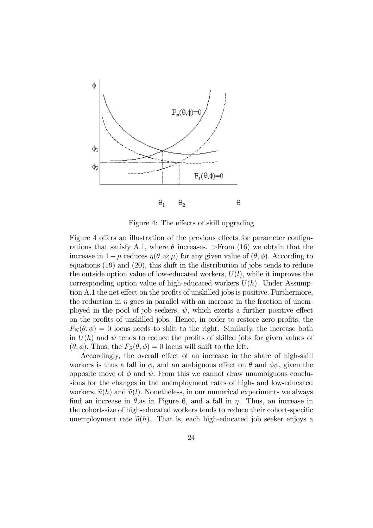

Figure 4: The effects of skill upgrading

Figure 4 offers an illustration of the previous effects for parameter configurations that satisfy A.1, where  $\theta$  increases. >From (16) we obtain that the increase in  $1-\mu$  reduces  $\eta(\theta, \phi; \mu)$  for any given value of  $(\theta, \phi)$ . According to equations (19) and (20), this shift in the distribution of jobs tends to reduce the outside option value of low-educated workers,  $U(l)$ , while it improves the corresponding option value of high-educated workers  $U(h)$ . Under Assumption A.1 the net effect on the profits of unskilled jobs is positive. Furthermore, the reduction in  $\eta$  goes in parallel with an increase in the fraction of unemployed in the pool of job seekers,  $\psi$ , which exerts a further positive effect on the profits of unskilled jobs. Hence, in order to restore zero profits, the  $F_N(\theta, \phi)=0$  locus needs to shift to the right. Similarly, the increase both in  $U(h)$  and  $\psi$  tends to reduce the profits of skilled jobs for given values of  $(\theta, \phi)$ . Thus, the  $F_S(\theta, \phi)=0$  locus will shift to the left.

Accordingly, the overall effect of an increase in the share of high-skill workers is thus a fall in  $\phi$ , and an ambiguous effect on  $\theta$  and  $\phi\psi$ , given the opposite move of  $\phi$  and  $\psi$ . From this we cannot draw unambiguous conclusions for the changes in the unemployment rates of high- and low-educated workers,  $\tilde{u}(h)$  and  $\tilde{u}(l)$ . Nonetheless, in our numerical experiments we always find an increase in  $\theta$ , as in Figure 6, and a fall in  $\eta$ . Thus, an increase in the cohort-size of high-educated workers tends to reduce their cohort-specific unemployment rate  $\tilde{u}(h)$ . That is, each high-educated job seeker enjoys a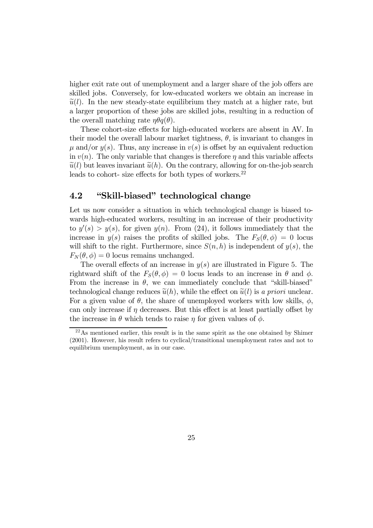higher exit rate out of unemployment and a larger share of the job offers are skilled jobs. Conversely, for low-educated workers we obtain an increase in  $\tilde{u}(l)$ . In the new steady-state equilibrium they match at a higher rate, but a larger proportion of these jobs are skilled jobs, resulting in a reduction of the overall matching rate  $\eta \theta q(\theta)$ .

These cohort-size effects for high-educated workers are absent in AV. In their model the overall labour market tightness,  $\theta$ , is invariant to changes in  $\mu$  and/or  $y(s)$ . Thus, any increase in  $v(s)$  is offset by an equivalent reduction in  $v(n)$ . The only variable that changes is therefore  $\eta$  and this variable affects  $\tilde{u}(l)$  but leaves invariant  $\tilde{u}(h)$ . On the contrary, allowing for on-the-job search leads to cohort- size effects for both types of workers. $^{22}$ 

### 4.2 "Skill-biased" technological change

Let us now consider a situation in which technological change is biased towards high-educated workers, resulting in an increase of their productivity to  $y'(s) > y(s)$ , for given  $y(n)$ . From (24), it follows immediately that the increase in  $y(s)$  raises the profits of skilled jobs. The  $F_S(\theta, \phi)=0$  locus will shift to the right. Furthermore, since  $S(n, h)$  is independent of  $y(s)$ , the  $F_N(\theta, \phi)=0$  locus remains unchanged.

The overall effects of an increase in  $y(s)$  are illustrated in Figure 5. The rightward shift of the  $F_S(\theta, \phi) = 0$  locus leads to an increase in  $\theta$  and  $\phi$ . From the increase in  $\theta$ , we can immediately conclude that "skill-biased" technological change reduces  $\tilde{u}(h)$ , while the effect on  $\tilde{u}(l)$  is a priori unclear. For a given value of  $\theta$ , the share of unemployed workers with low skills,  $\phi$ , can only increase if  $\eta$  decreases. But this effect is at least partially offset by the increase in  $\theta$  which tends to raise  $\eta$  for given values of  $\phi$ .

 $22$ As mentioned earlier, this result is in the same spirit as the one obtained by Shimer (2001). However, his result refers to cyclical/transitional unemployment rates and not to equilibrium unemployment, as in our case.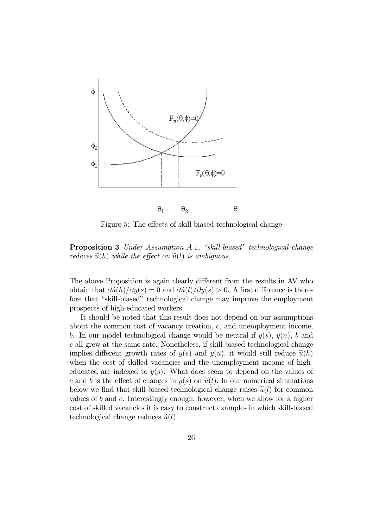

Figure 5: The effects of skill-biased technological change

Proposition 3 Under Assumption A.1, "skill-biased" technological change reduces  $\tilde{u}(h)$  while the effect on  $\tilde{u}(l)$  is ambiguous.

The above Proposition is again clearly different from the results in AV who obtain that  $\frac{\partial \widetilde{u}(h)}{\partial y(s)} = 0$  and  $\frac{\partial \widetilde{u}(l)}{\partial y(s)} > 0$ . A first difference is therefore that "skill-biased" technological change may improve the employment prospects of high-educated workers.

It should be noted that this result does not depend on our assumptions about the common cost of vacancy creation, c, and unemployment income, b. In our model technological change would be neutral if  $y(s)$ ,  $y(n)$ , b and c all grew at the same rate. Nonetheless, if skill-biased technological change implies different growth rates of  $y(s)$  and  $y(u)$ , it would still reduce  $\tilde{u}(h)$ when the cost of skilled vacancies and the unemployment income of higheducated are indexed to  $y(s)$ . What does seem to depend on the values of c and b is the effect of changes in  $y(s)$  on  $\tilde{u}(l)$ . In our numerical simulations below we find that skill-biased technological change raises  $\tilde{u}(l)$  for common values of b and c. Interestingly enough, however, when we allow for a higher cost of skilled vacancies it is easy to construct examples in which skill-biased technological change reduces  $\tilde{u}(l)$ .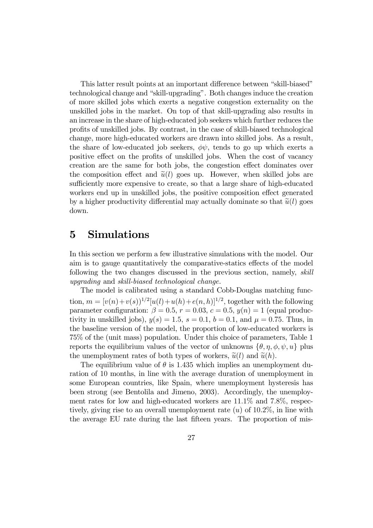This latter result points at an important difference between "skill-biased" technological change and "skill-upgrading". Both changes induce the creation of more skilled jobs which exerts a negative congestion externality on the unskilled jobs in the market. On top of that skill-upgrading also results in an increase in the share of high-educated job seekers which further reduces the profits of unskilled jobs. By contrast, in the case of skill-biased technological change, more high-educated workers are drawn into skilled jobs. As a result, the share of low-educated job seekers,  $\phi\psi$ , tends to go up which exerts a positive effect on the profits of unskilled jobs. When the cost of vacancy creation are the same for both jobs, the congestion effect dominates over the composition effect and  $\tilde{u}(l)$  goes up. However, when skilled jobs are sufficiently more expensive to create, so that a large share of high-educated workers end up in unskilled jobs, the positive composition effect generated by a higher productivity differential may actually dominate so that  $\tilde{u}(l)$  goes down.

## 5 Simulations

In this section we perform a few illustrative simulations with the model. Our aim is to gauge quantitatively the comparative-statics effects of the model following the two changes discussed in the previous section, namely, skill upgrading and skill-biased technological change.

The model is calibrated using a standard Cobb-Douglas matching function,  $m = [v(n) + v(s)]^{1/2}[u(l) + u(h) + e(n, h)]^{1/2}$ , together with the following parameter configuration:  $\beta = 0.5$ ,  $r = 0.03$ ,  $c = 0.5$ ,  $y(n) = 1$  (equal productivity in unskilled jobs),  $y(s) = 1.5$ ,  $s = 0.1$ ,  $b = 0.1$ , and  $\mu = 0.75$ . Thus, in the baseline version of the model, the proportion of low-educated workers is 75% of the (unit mass) population. Under this choice of parameters, Table 1 reports the equilibrium values of the vector of unknowns  $\{\theta, \eta, \phi, \psi, u\}$  plus the unemployment rates of both types of workers,  $\tilde{u}(l)$  and  $\tilde{u}(h)$ .

The equilibrium value of  $\theta$  is 1.435 which implies an unemployment duration of 10 months, in line with the average duration of unemployment in some European countries, like Spain, where unemployment hysteresis has been strong (see Bentolila and Jimeno, 2003). Accordingly, the unemployment rates for low and high-educated workers are 11.1% and 7.8%, respectively, giving rise to an overall unemployment rate  $(u)$  of 10.2%, in line with the average EU rate during the last fifteen years. The proportion of mis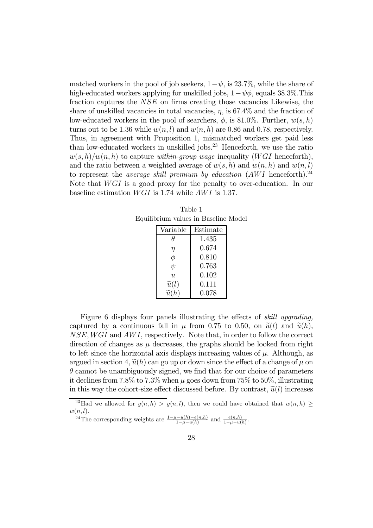matched workers in the pool of job seekers,  $1-\psi$ , is 23.7%, while the share of high-educated workers applying for unskilled jobs,  $1-\psi\phi$ , equals 38.3%. This fraction captures the NSE on firms creating those vacancies Likewise, the share of unskilled vacancies in total vacancies,  $\eta$ , is 67.4\% and the fraction of low-educated workers in the pool of searchers,  $\phi$ , is 81.0%. Further,  $w(s, h)$ turns out to be 1.36 while  $w(n, l)$  and  $w(n, h)$  are 0.86 and 0.78, respectively. Thus, in agreement with Proposition 1, mismatched workers get paid less than low-educated workers in unskilled jobs.<sup>23</sup> Henceforth, we use the ratio  $w(s, h)/w(n, h)$  to capture within-group wage inequality (WGI henceforth), and the ratio between a weighted average of  $w(s, h)$  and  $w(n, h)$  and  $w(n, l)$ to represent the *average skill premium by education*  $(AWI$  henceforth).<sup>24</sup> Note that  $WGI$  is a good proxy for the penalty to over-education. In our baseline estimation  $WGI$  is 1.74 while  $AWI$  is 1.37.

Table 1 Equilibrium values in Baseline Model

| Variable                  | Estimate |
|---------------------------|----------|
| Ĥ                         | 1.435    |
| η                         | 0.674    |
| φ                         | 0.810    |
| $\psi$                    | 0.763    |
| $\overline{\mathfrak{u}}$ | 0.102    |
| $\widetilde{u}(l)$        | 0.111    |
| $\widetilde{u}(h)$        | 0.078    |

Figure 6 displays four panels illustrating the effects of skill upgrading, captured by a continuous fall in  $\mu$  from 0.75 to 0.50, on  $\tilde{u}(l)$  and  $\tilde{u}(h)$ , NSE, WGI and AWI, respectively. Note that, in order to follow the correct direction of changes as  $\mu$  decreases, the graphs should be looked from right to left since the horizontal axis displays increasing values of  $\mu$ . Although, as argued in section 4,  $\tilde{u}(h)$  can go up or down since the effect of a change of  $\mu$  on  $\theta$  cannot be unambiguously signed, we find that for our choice of parameters it declines from 7.8% to 7.3% when  $\mu$  goes down from 75% to 50%, illustrating in this way the cohort-size effect discussed before. By contrast,  $\tilde{u}(l)$  increases

<sup>24</sup>The corresponding weights are  $\frac{1-\mu-u(h)-e(n,h)}{1-\mu-u(h)}$  and  $\frac{e(n,h)}{1-\mu-u(h)}$ .

<sup>&</sup>lt;sup>23</sup>Had we allowed for  $y(n, h) > y(n, l)$ , then we could have obtained that  $w(n, h) \geq$  $w(n, l)$ .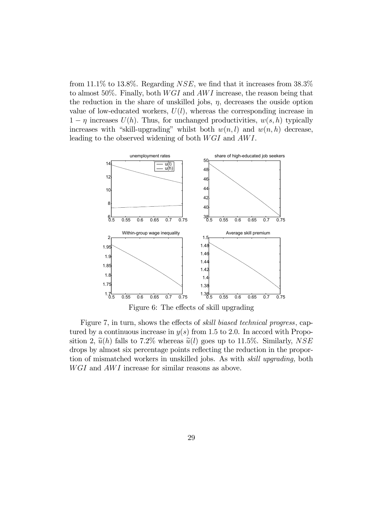from 11.1% to 13.8%. Regarding  $NSE$ , we find that it increases from 38.3% to almost 50%. Finally, both  $WGI$  and  $AWI$  increase, the reason being that the reduction in the share of unskilled jobs,  $\eta$ , decreases the ouside option value of low-educated workers,  $U(l)$ , whereas the corresponding increase in  $1 - \eta$  increases  $U(h)$ . Thus, for unchanged productivities,  $w(s, h)$  typically increases with "skill-upgrading" whilst both  $w(n, l)$  and  $w(n, h)$  decrease, leading to the observed widening of both WGI and AWI.



Figure 7, in turn, shows the effects of skill biased technical progress, captured by a continuous increase in  $y(s)$  from 1.5 to 2.0. In accord with Proposition 2,  $\tilde{u}(h)$  falls to 7.2% whereas  $\tilde{u}(l)$  goes up to 11.5%. Similarly, NSE drops by almost six percentage points reflecting the reduction in the proportion of mismatched workers in unskilled jobs. As with skill upgrading, both  $WGI$  and  $AWI$  increase for similar reasons as above.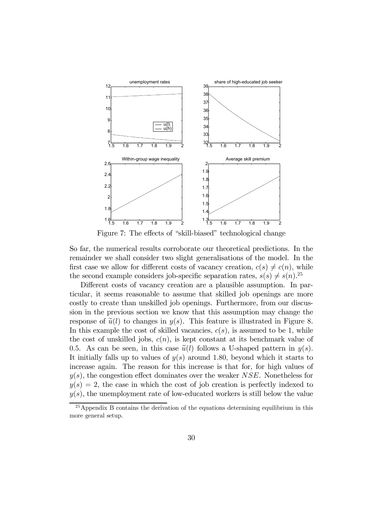

Figure 7: The effects of "skill-biased" technological change

So far, the numerical results corroborate our theoretical predictions. In the remainder we shall consider two slight generalisations of the model. In the first case we allow for different costs of vacancy creation,  $c(s) \neq c(n)$ , while the second example considers job-specific separation rates,  $s(s) \neq s(n)$ .<sup>25</sup>

Different costs of vacancy creation are a plausible assumption. In particular, it seems reasonable to assume that skilled job openings are more costly to create than unskilled job openings. Furthermore, from our discussion in the previous section we know that this assumption may change the response of  $\tilde{u}(l)$  to changes in  $y(s)$ . This feature is illustrated in Figure 8. In this example the cost of skilled vacancies,  $c(s)$ , is assumed to be 1, while the cost of unskilled jobs,  $c(n)$ , is kept constant at its benchmark value of 0.5. As can be seen, in this case  $\tilde{u}(l)$  follows a U-shaped pattern in  $y(s)$ . It initially falls up to values of  $y(s)$  around 1.80, beyond which it starts to increase again. The reason for this increase is that for, for high values of  $y(s)$ , the congestion effect dominates over the weaker NSE. Nonetheless for  $y(s)=2$ , the case in which the cost of job creation is perfectly indexed to  $y(s)$ , the unemployment rate of low-educated workers is still below the value

 $25$  Appendix B contains the derivation of the equations determining equilibrium in this more general setup.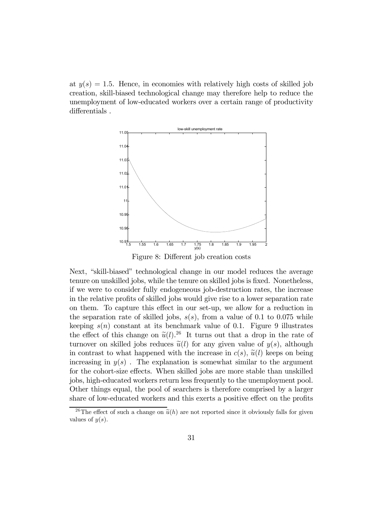at  $y(s)=1.5$ . Hence, in economies with relatively high costs of skilled job creation, skill-biased technological change may therefore help to reduce the unemployment of low-educated workers over a certain range of productivity differentials .



Figure 8: Different job creation costs

Next, "skill-biased" technological change in our model reduces the average tenure on unskilled jobs, while the tenure on skilled jobs is fixed. Nonetheless, if we were to consider fully endogeneous job-destruction rates, the increase in the relative profits of skilled jobs would give rise to a lower separation rate on them. To capture this effect in our set-up, we allow for a reduction in the separation rate of skilled jobs,  $s(s)$ , from a value of 0.1 to 0.075 while keeping  $s(n)$  constant at its benchmark value of 0.1. Figure 9 illustrates the effect of this change on  $\tilde{u}(l)$ .<sup>26</sup> It turns out that a drop in the rate of turnover on skilled jobs reduces  $\tilde{u}(l)$  for any given value of  $y(s)$ , although in contrast to what happened with the increase in  $c(s)$ ,  $\tilde{u}(l)$  keeps on being increasing in  $y(s)$ . The explanation is somewhat similar to the argument for the cohort-size effects. When skilled jobs are more stable than unskilled jobs, high-educated workers return less frequently to the unemployment pool. Other things equal, the pool of searchers is therefore comprised by a larger share of low-educated workers and this exerts a positive effect on the profits

<sup>&</sup>lt;sup>26</sup>The effect of such a change on  $\tilde{u}(h)$  are not reported since it obviously falls for given values of  $y(s)$ .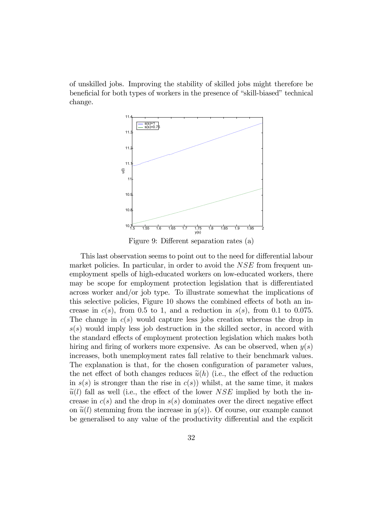of unskilled jobs. Improving the stability of skilled jobs might therefore be beneficial for both types of workers in the presence of "skill-biased" technical change.



Figure 9: Different separation rates (a)

This last observation seems to point out to the need for differential labour market policies. In particular, in order to avoid the NSE from frequent unemployment spells of high-educated workers on low-educated workers, there may be scope for employment protection legislation that is differentiated across worker and/or job type. To illustrate somewhat the implications of this selective policies, Figure 10 shows the combined effects of both an increase in  $c(s)$ , from 0.5 to 1, and a reduction in  $s(s)$ , from 0.1 to 0.075. The change in  $c(s)$  would capture less jobs creation whereas the drop in  $s(s)$  would imply less job destruction in the skilled sector, in accord with the standard effects of employment protection legislation which makes both hiring and firing of workers more expensive. As can be observed, when  $y(s)$ increases, both unemployment rates fall relative to their benchmark values. The explanation is that, for the chosen configuration of parameter values, the net effect of both changes reduces  $\tilde{u}(h)$  (i.e., the effect of the reduction in  $s(s)$  is stronger than the rise in  $c(s)$ ) whilst, at the same time, it makes  $\tilde{u}(l)$  fall as well (i.e., the effect of the lower NSE implied by both the increase in  $c(s)$  and the drop in  $s(s)$  dominates over the direct negative effect on  $\tilde{u}(l)$  stemming from the increase in  $y(s)$ ). Of course, our example cannot be generalised to any value of the productivity differential and the explicit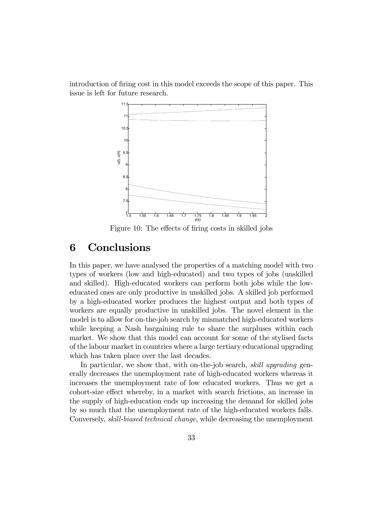introduction of firing cost in this model exceeds the scope of this paper. This issue is left for future research.



Figure 10: The effects of firing costs in skilled jobs

## 6 Conclusions

In this paper, we have analysed the properties of a matching model with two types of workers (low and high-educated) and two types of jobs (unskilled and skilled). High-educated workers can perform both jobs while the loweducated ones are only productive in unskilled jobs. A skilled job performed by a high-educated worker produces the highest output and both types of workers are equally productive in unskilled jobs. The novel element in the model is to allow for on-the-job search by mismatched high-educated workers while keeping a Nash bargaining rule to share the surpluses within each market. We show that this model can account for some of the stylised facts of the labour market in countries where a large tertiary educational upgrading which has taken place over the last decades.

In particular, we show that, with on-the-job search, skill upgrading generally decreases the unemployment rate of high-educated workers whereas it increases the unemployment rate of low educated workers. Thus we get a cohort-size effect whereby, in a market with search frictions, an increase in the supply of high-education ends up increasing the demand for skilled jobs by so much that the unemployment rate of the high-educated workers falls. Conversely, skill-biased technical change, while decreasing the unemployment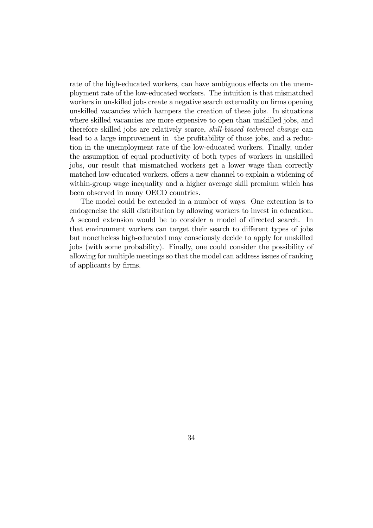rate of the high-educated workers, can have ambiguous effects on the unemployment rate of the low-educated workers. The intuition is that mismatched workers in unskilled jobs create a negative search externality on firms opening unskilled vacancies which hampers the creation of these jobs. In situations where skilled vacancies are more expensive to open than unskilled jobs, and therefore skilled jobs are relatively scarce, skill-biased technical change can lead to a large improvement in the profitability of those jobs, and a reduction in the unemployment rate of the low-educated workers. Finally, under the assumption of equal productivity of both types of workers in unskilled jobs, our result that mismatched workers get a lower wage than correctly matched low-educated workers, offers a new channel to explain a widening of within-group wage inequality and a higher average skill premium which has been observed in many OECD countries.

The model could be extended in a number of ways. One extention is to endogeneise the skill distribution by allowing workers to invest in education. A second extension would be to consider a model of directed search. In that environment workers can target their search to different types of jobs but nonetheless high-educated may consciously decide to apply for unskilled jobs (with some probability). Finally, one could consider the possibility of allowing for multiple meetings so that the model can address issues of ranking of applicants by firms.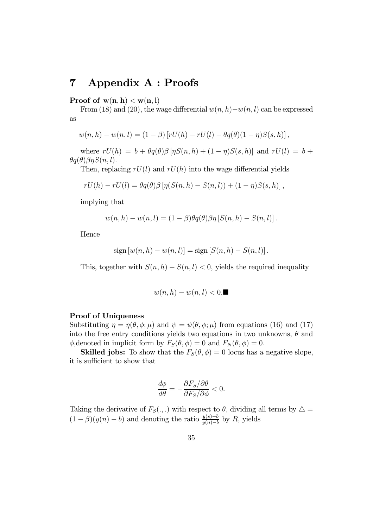## 7 Appendix A : Proofs

Proof of  $w(n, h) < w(n, l)$ 

From (18) and (20), the wage differential  $w(n, h)-w(n, l)$  can be expressed as

$$
w(n,h) - w(n,l) = (1 - \beta) [rU(h) - rU(l) - \theta q(\theta)(1 - \eta)S(s,h)],
$$

where  $rU(h) = b + \theta q(\theta) \beta [\eta S(n, h) + (1 - \eta)S(s, h)]$  and  $rU(l) = b +$  $\theta q(\theta) \beta \eta S(n,l).$ 

Then, replacing  $rU(l)$  and  $rU(h)$  into the wage differential yields

$$
rU(h) - rU(l) = \theta q(\theta) \beta [\eta(S(n,h) - S(n,l)) + (1 - \eta)S(s,h)],
$$

implying that

$$
w(n,h) - w(n,l) = (1 - \beta)\theta q(\theta)\beta\eta \left[ S(n,h) - S(n,l) \right].
$$

Hence

sign 
$$
[w(n, h) - w(n, l)]
$$
 = sign  $[S(n, h) - S(n, l)]$ .

This, together with  $S(n, h) - S(n, l) < 0$ , yields the required inequality

$$
w(n,h) - w(n,l) < 0.
$$

#### Proof of Uniqueness

Substituting  $\eta = \eta(\theta, \phi; \mu)$  and  $\psi = \psi(\theta, \phi; \mu)$  from equations (16) and (17) into the free entry conditions yields two equations in two unknowns,  $\theta$  and  $\phi$ , denoted in implicit form by  $F_S(\theta, \phi) = 0$  and  $F_N(\theta, \phi) = 0$ .

**Skilled jobs:** To show that the  $F_S(\theta, \phi) = 0$  locus has a negative slope, it is sufficient to show that

$$
\frac{d\phi}{d\theta} = -\frac{\partial F_S/\partial \theta}{\partial F_S/\partial \phi} < 0.
$$

Taking the derivative of  $F_S(.,.)$  with respect to  $\theta$ , dividing all terms by  $\Delta =$  $(1 - \beta)(y(n) - b)$  and denoting the ratio  $\frac{y(s)-b}{y(n)-b}$  by R, yields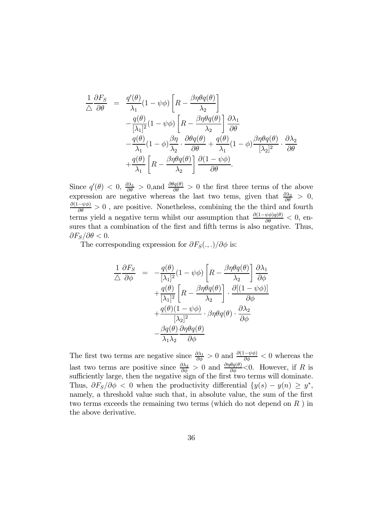$$
\frac{1}{\Delta} \frac{\partial F_S}{\partial \theta} = \frac{q'(\theta)}{\lambda_1} (1 - \psi \phi) \left[ R - \frac{\beta \eta \theta q(\theta)}{\lambda_2} \right] \n- \frac{q(\theta)}{[\lambda_1]^2} (1 - \psi \phi) \left[ R - \frac{\beta \eta \theta q(\theta)}{\lambda_2} \right] \frac{\partial \lambda_1}{\partial \theta} \n- \frac{q(\theta)}{\lambda_1} (1 - \phi) \frac{\beta \eta}{\lambda_2} \cdot \frac{\partial \theta q(\theta)}{\partial \theta} + \frac{q(\theta)}{\lambda_1} (1 - \phi) \frac{\beta \eta \theta q(\theta)}{[\lambda_2]^2} \cdot \frac{\partial \lambda_2}{\partial \theta} \n+ \frac{q(\theta)}{\lambda_1} \left[ R - \frac{\beta \eta \theta q(\theta)}{\lambda_2} \right] \frac{\partial (1 - \psi \phi)}{\partial \theta}.
$$

Since  $q'(\theta) < 0$ ,  $\frac{\partial \lambda_1}{\partial \theta} > 0$ , and  $\frac{\partial \theta q(\theta)}{\partial \theta} > 0$  the first three terms of the above expression are negative whereas the last two tems, given that  $\frac{\partial \lambda_2}{\partial \theta} > 0$ ,  $\frac{\partial (1-\psi\phi)}{\partial \theta} > 0$ , are positive. Nonetheless, combining the the third and fourth terms yield a negative term whilst our assumption that  $\frac{\partial(1-\psi\phi)q(\theta)}{\partial \theta} < 0$ , ensures that a combination of the first and fifth terms is also negative. Thus,  $\partial F_S/\partial \theta < 0.$ 

The corresponding expression for  $\partial F_S(.,.)/\partial \phi$  is:

$$
\frac{1}{\Delta} \frac{\partial F_S}{\partial \phi} = -\frac{q(\theta)}{[\lambda_1]^2} (1 - \psi \phi) \left[ R - \frac{\beta \eta \theta q(\theta)}{\lambda_2} \right] \frac{\partial \lambda_1}{\partial \phi} \n+ \frac{q(\theta)}{[\lambda_1]^2} \left[ R - \frac{\beta \eta \theta q(\theta)}{\lambda_2} \right] \cdot \frac{\partial [(1 - \psi \phi)]}{\partial \phi} \n+ \frac{q(\theta)(1 - \psi \phi)}{[\lambda_2]^2} \cdot \beta \eta \theta q(\theta) \cdot \frac{\partial \lambda_2}{\partial \phi} \n- \frac{\beta q(\theta)}{\lambda_1 \lambda_2} \frac{\partial \eta \theta q(\theta)}{\partial \phi}
$$

The first two terms are negative since  $\frac{\partial \lambda_1}{\partial \phi} > 0$  and  $\frac{\partial (1-\psi \phi)}{\partial \phi} < 0$  whereas the last two terms are positive since  $\frac{\partial \lambda_2}{\partial \phi} > 0$  and  $\frac{\partial \eta \theta q(\theta)}{\partial \phi} < 0$ . However, if R is sufficiently large, then the negative sign of the first two terms will dominate. Thus,  $\partial F_S/\partial \phi < 0$  when the productivity differential  $\{y(s) - y(n) \geq y^*$ , namely, a threshold value such that, in absolute value, the sum of the first two terms exceeds the remaining two terms (which do not depend on  $R$ ) in the above derivative.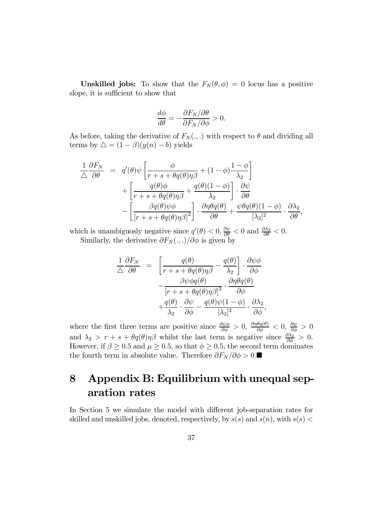**Unskilled jobs:** To show that the  $F_N(\theta, \phi) = 0$  locus has a positive slope, it is sufficient to show that

$$
\frac{d\phi}{d\theta} = -\frac{\partial F_N/\partial \theta}{\partial F_N/\partial \phi} > 0.
$$

As before, taking the derivative of  $F_N(.,.)$  with respect to  $\theta$  and dividing all terms by  $\Delta = (1 - \beta)(y(n) - b)$  yields

$$
\frac{1}{\Delta} \frac{\partial F_N}{\partial \theta} = q'(\theta)\psi \left[ \frac{\phi}{r+s+\theta q(\theta)\eta\beta} + (1-\phi)\frac{1-\phi}{\lambda_2} \right] \n+ \left[ \frac{q(\theta)\phi}{r+s+\theta q(\theta)\eta\beta} + \frac{q(\theta)(1-\phi)}{\lambda_2} \right] \cdot \frac{\partial \psi}{\partial \theta} \n- \left[ \frac{\beta q(\theta)\psi\phi}{[r+s+\theta q(\theta)\eta\beta]^2} \right] \cdot \frac{\partial \eta\theta q(\theta)}{\partial \theta} + \frac{\psi\theta q(\theta)(1-\phi)}{[\lambda_2]^2} \cdot \frac{\partial \lambda_2}{\partial \theta},
$$

which is unambiguosly negative since  $q'(\theta) < 0$ ,  $\frac{\partial \psi}{\partial \theta} < 0$  and  $\frac{\partial \lambda_2}{\partial \theta} < 0$ . Similarly, the derivative  $\partial F_N(.,.)/\partial \phi$  is given by

$$
\frac{1}{\triangle} \frac{\partial F_N}{\partial \theta} = \left[ \frac{q(\theta)}{r + s + \theta q(\theta) \eta \beta} - \frac{q(\theta)}{\lambda_2} \right] \cdot \frac{\partial \psi \phi}{\partial \phi} \n- \frac{\beta \psi \phi q(\theta)}{\left[ r + s + \theta q(\theta) \eta \beta \right]^2} \cdot \frac{\partial \eta \theta q(\theta)}{\partial \phi} \n+ \frac{q(\theta)}{\lambda_2} \cdot \frac{\partial \psi}{\partial \phi} - \frac{q(\theta) \psi (1 - \phi)}{\left[ \lambda_2 \right]^2} \cdot \frac{\partial \lambda_2}{\partial \phi},
$$

where the first three terms are positive since  $\frac{\partial \psi \phi}{\partial \phi} > 0$ ,  $\frac{\partial \eta \theta q(\theta)}{\partial \phi} < 0$ ,  $\frac{\partial \psi}{\partial \phi} > 0$ and  $\lambda_2 > r + s + \theta q(\theta) \eta \beta$  whilst the last term is negative since  $\frac{\partial \lambda_2}{\partial \phi} > 0$ . However, if  $\beta \ge 0.5$  and  $\mu \ge 0.5$ , so that  $\phi \ge 0.5$ , the second term dominates the fourth term in absolute value. Therefore  $\partial F_N/\partial \phi > 0$ .■

## 8 Appendix B: Equilibrium with unequal separation rates

In Section 5 we simulate the model with different job-separation rates for skilled and unskilled jobs, denoted, respectively, by  $s(s)$  and  $s(n)$ , with  $s(s)$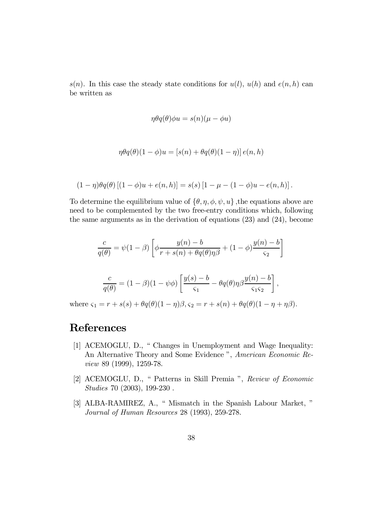$s(n)$ . In this case the steady state conditions for  $u(l)$ ,  $u(h)$  and  $e(n, h)$  can be written as

$$
\eta \theta q(\theta)\phi u = s(n)(\mu - \phi u)
$$

$$
\eta \theta q(\theta)(1-\phi)u = [s(n) + \theta q(\theta)(1-\eta)] e(n,h)
$$

$$
(1-\eta)\theta q(\theta)\left[(1-\phi)u+e(n,h)\right]=s(s)\left[1-\mu-(1-\phi)u-e(n,h)\right].
$$

To determine the equilibrium value of  $\{\theta, \eta, \phi, \psi, u\}$ , the equations above are need to be complemented by the two free-entry conditions which, following the same arguments as in the derivation of equations (23) and (24), become

$$
\frac{c}{q(\theta)} = \psi(1-\beta) \left[ \phi \frac{y(n)-b}{r+s(n)+\theta q(\theta)\eta\beta} + (1-\phi) \frac{y(n)-b}{\varsigma_2} \right]
$$

$$
\frac{c}{q(\theta)} = (1-\beta)(1-\psi\phi) \left[ \frac{y(s)-b}{\varsigma_1} - \theta q(\theta)\eta\beta \frac{y(n)-b}{\varsigma_1\varsigma_2} \right],
$$

where  $\varsigma_1 = r + s(s) + \theta q(\theta)(1 - \eta)\beta$ ,  $\varsigma_2 = r + s(n) + \theta q(\theta)(1 - \eta + \eta\beta)$ .

## **References**

- [1] ACEMOGLU, D., " Changes in Unemployment and Wage Inequality: An Alternative Theory and Some Evidence ", American Economic Review 89 (1999), 1259-78.
- [2] ACEMOGLU, D., " Patterns in Skill Premia ", Review of Economic Studies 70 (2003), 199-230 .
- [3] ALBA-RAMIREZ, A., " Mismatch in the Spanish Labour Market, " Journal of Human Resources 28 (1993), 259-278.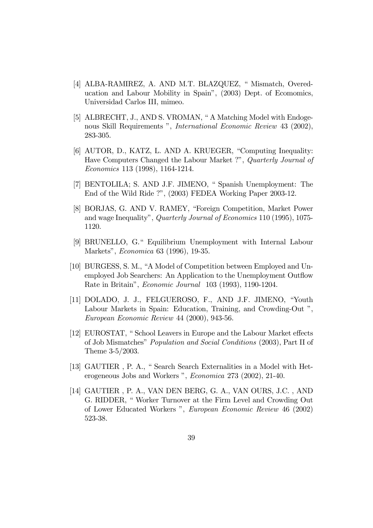- [4] ALBA-RAMIREZ, A. AND M.T. BLAZQUEZ, " Mismatch, Overeducation and Labour Mobility in Spain", (2003) Dept. of Ecomomics, Universidad Carlos III, mimeo.
- [5] ALBRECHT, J., AND S. VROMAN, " A Matching Model with Endogenous Skill Requirements ", International Economic Review 43 (2002), 283-305.
- [6] AUTOR, D., KATZ, L. AND A. KRUEGER, "Computing Inequality: Have Computers Changed the Labour Market ?", Quarterly Journal of Economics 113 (1998), 1164-1214.
- [7] BENTOLILA; S. AND J.F. JIMENO, " Spanish Unemployment: The End of the Wild Ride ?", (2003) FEDEA Working Paper 2003-12.
- [8] BORJAS, G. AND V. RAMEY, "Foreign Competition, Market Power and wage Inequality", Quarterly Journal of Economics 110 (1995), 1075- 1120.
- [9] BRUNELLO, G." Equilibrium Unemployment with Internal Labour Markets", Economica 63 (1996), 19-35.
- [10] BURGESS, S. M., "A Model of Competition between Employed and Unemployed Job Searchers: An Application to the Unemployment Outflow Rate in Britain", Economic Journal 103 (1993), 1190-1204.
- [11] DOLADO, J. J., FELGUEROSO, F., AND J.F. JIMENO, "Youth Labour Markets in Spain: Education, Training, and Crowding-Out ", European Economic Review 44 (2000), 943-56.
- [12] EUROSTAT, " School Leavers in Europe and the Labour Market effects of Job Mismatches" Population and Social Conditions (2003), Part II of Theme 3-5/2003.
- [13] GAUTIER , P. A., " Search Search Externalities in a Model with Heterogeneous Jobs and Workers ", Economica 273 (2002), 21-40.
- [14] GAUTIER , P. A., VAN DEN BERG, G. A., VAN OURS, J.C. , AND G. RIDDER, " Worker Turnover at the Firm Level and Crowding Out of Lower Educated Workers ", European Economic Review 46 (2002) 523-38.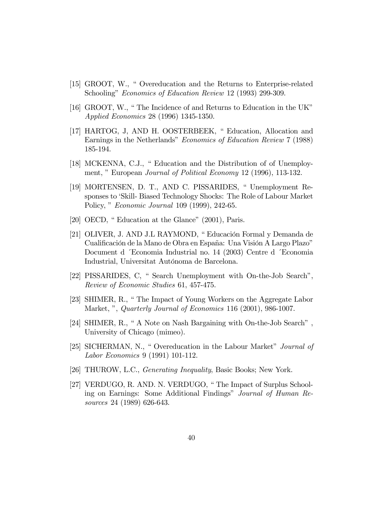- [15] GROOT, W., " Overeducation and the Returns to Enterprise-related Schooling" Economics of Education Review 12 (1993) 299-309.
- [16] GROOT, W., " The Incidence of and Returns to Education in the UK" Applied Economics 28 (1996) 1345-1350.
- [17] HARTOG, J, AND H. OOSTERBEEK, " Education, Allocation and Earnings in the Netherlands" Economics of Education Review 7 (1988) 185-194.
- [18] MCKENNA, C.J., " Education and the Distribution of of Unemployment, " European *Journal of Political Economy* 12 (1996), 113-132.
- [19] MORTENSEN, D. T., AND C. PISSARIDES, " Unemployment Responses to 'Skill- Biased Technology Shocks: The Role of Labour Market Policy, " Economic Journal 109 (1999), 242-65.
- [20] OECD, " Education at the Glance" (2001), Paris.
- [21] OLIVER, J. AND J.L RAYMOND, " Educación Formal y Demanda de Cualificación de la Mano de Obra en España: Una Visión A Largo Plazo" Document d ´Economia Industrial no. 14 (2003) Centre d ´Economia Industrial, Universitat Autónoma de Barcelona.
- [22] PISSARIDES, C, " Search Unemployment with On-the-Job Search", Review of Economic Studies 61, 457-475.
- [23] SHIMER, R., " The Impact of Young Workers on the Aggregate Labor Market, ", *Quarterly Journal of Economics* 116 (2001), 986-1007.
- [24] SHIMER, R., " A Note on Nash Bargaining with On-the-Job Search" , University of Chicago (mimeo).
- [25] SICHERMAN, N., " Overeducation in the Labour Market" Journal of Labor Economics 9 (1991) 101-112.
- [26] THUROW, L.C., Generating Inequality, Basic Books; New York.
- [27] VERDUGO, R. AND. N. VERDUGO, " The Impact of Surplus Schooling on Earnings: Some Additional Findings" Journal of Human Resources 24 (1989) 626-643.